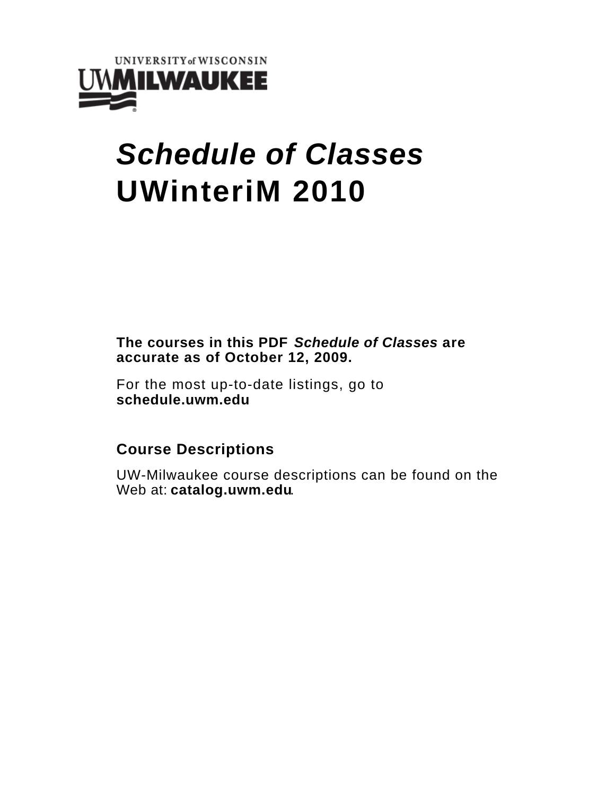

# **Schedule of Classes UWinteriM 2010**

**The courses in this PDF Schedule of Classes are accurate as of October 12, 2009.**

For the most up-to-date listings, go to **schedule.uwm.edu**

## **Course Descriptions**

UW-Milwaukee course descriptions can be found on the Web at: **catalog.uwm.edu**.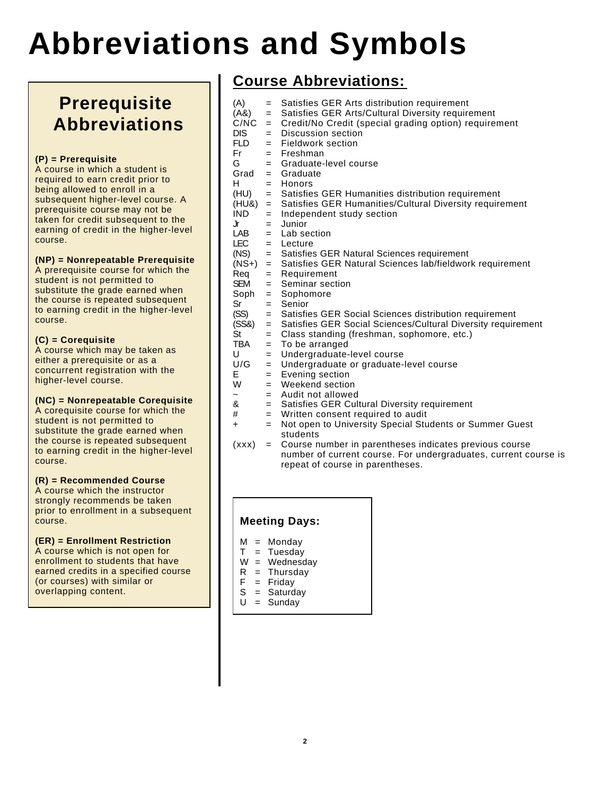# **Abbreviations and Symbols**

## **Prerequisite Abbreviations**

## **(P) = Prerequisite**

A course in which a student is required to earn credit prior to being allowed to enroll in a subsequent higher-level course. A prerequisite course may not be taken for credit subsequent to the earning of credit in the higher-level course.

## **(NP) = Nonrepeatable Prerequisite**

A prerequisite course for which the student is not permitted to substitute the grade earned when the course is repeated subsequent to earning credit in the higher-level course.

## **(C) = Corequisite**

A course which may be taken as either a prerequisite or as a concurrent registration with the higher-level course.

## **(NC) = Nonrepeatable Corequisite**

A corequisite course for which the student is not permitted to substitute the grade earned when the course is repeated subsequent to earning credit in the higher-level course.

## **(R) = Recommended Course**

A course which the instructor strongly recommends be taken prior to enrollment in a subsequent course.

## **(ER) = Enrollment Restriction**

A course which is not open for enrollment to students that have earned credits in a specified course (or courses) with similar or overlapping content.

## **Course Abbreviations:**

| (A)              |     | = Satisfies GER Arts distribution requirement                    |
|------------------|-----|------------------------------------------------------------------|
| (A8)             |     | = Satisfies GER Arts/Cultural Diversity requirement              |
| C/NC             |     | = Credit/No Credit (special grading option) requirement          |
| <b>DIS</b>       | $=$ | Discussion section                                               |
| <b>FLD</b>       |     | = Fieldwork section                                              |
| Fr <sub>11</sub> |     | $=$ Freshman                                                     |
| G                |     | $=$ Graduate-level course                                        |
| Grad             |     | $=$ Graduate                                                     |
| H                |     | $=$ Honors                                                       |
|                  |     | (HU) = Satisfies GER Humanities distribution requirement         |
| (HU&)            |     | = Satisfies GER Humanities/Cultural Diversity requirement        |
| IND              |     |                                                                  |
|                  | $=$ | Independent study section                                        |
| Jr<br>LAB        | $=$ | Junior                                                           |
|                  |     | $=$ Lab section                                                  |
| EC               |     | $=$ Lecture                                                      |
| (NS)             |     | = Satisfies GER Natural Sciences requirement                     |
|                  |     | (NS+) = Satisfies GER Natural Sciences lab/fieldwork requirement |
| Reg              | $=$ | Requirement                                                      |
| <b>SEM</b>       |     | $=$ Seminar section                                              |
|                  |     | $Soph = Sophomore$                                               |
| Sr               | $=$ | Senior                                                           |
| (SS)             | $=$ | Satisfies GER Social Sciences distribution requirement           |
| (SS&)            |     | = Satisfies GER Social Sciences/Cultural Diversity requirement   |
| St               | $=$ | Class standing (freshman, sophomore, etc.)                       |
| TBA              | $=$ | To be arranged                                                   |
| U                | $=$ | Undergraduate-level course                                       |
| U/G              | $=$ | Undergraduate or graduate-level course                           |
| E.               | $=$ | Evening section                                                  |
| W ·              | $=$ | Weekend section                                                  |
|                  |     | $=$ Audit not allowed                                            |
| &                |     | = Satisfies GER Cultural Diversity requirement                   |
| #                |     | $=$ Written consent required to audit                            |
| $\ddot{}$        | $=$ | Not open to University Special Students or Summer Guest          |
|                  |     | students                                                         |
| $\{v, w\}$       |     | Course number in persptheses indicates provisue source           |

(xxx) = Course number in parentheses indicates previous course number of current course. For undergraduates, current course is repeat of course in parentheses.

## **Meeting Days:**

- 
- $M =$  Monday<br> $T =$  Tuesday  $=$  Tuesday
- $W =$  Wednesday
- $R =$ Thursday
- $F =$  Friday
- S = Saturday
- $U =$  Sunday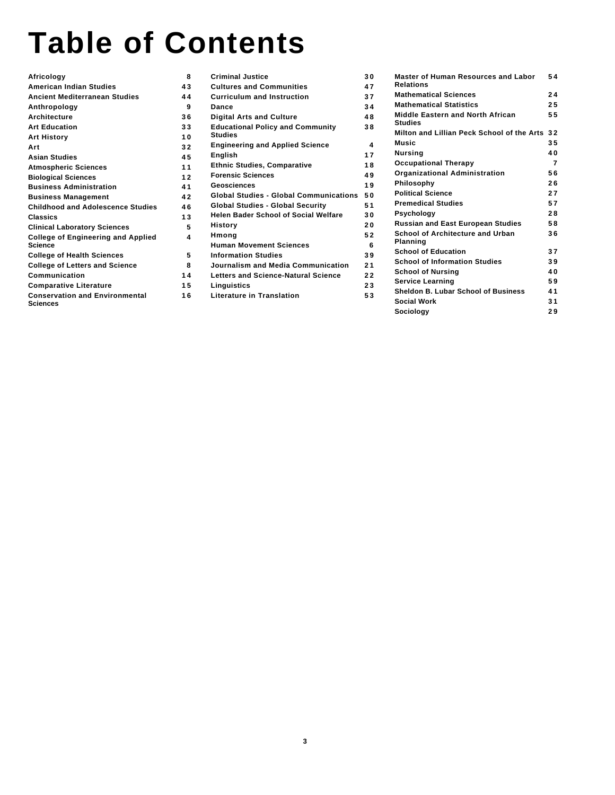# **Table of Contents**

| Africology                                                   | 8  |
|--------------------------------------------------------------|----|
| <b>American Indian Studies</b>                               | 43 |
| <b>Ancient Mediterranean Studies</b>                         | 44 |
| Anthropology                                                 | 9  |
| <b>Architecture</b>                                          | 36 |
| <b>Art Education</b><br>------------------------------       | 33 |
| <b>Art History</b>                                           | 10 |
| Art                                                          | 32 |
| <b>Asian Studies</b><br>--------------------------           | 45 |
| <b>Atmospheric Sciences</b>                                  | 11 |
| <b>Biological Sciences</b><br>------------------------------ | 12 |
| <b>Business Administration</b>                               | 41 |
| <b>Business Management</b>                                   | 42 |
| <b>Childhood and Adolescence Studies</b>                     | 46 |
| Classics                                                     | 13 |
| <b>Clinical Laboratory Sciences</b>                          | 5  |
| <b>College of Engineering and Applied</b><br><b>Science</b>  | 4  |
| <b>College of Health Sciences</b>                            | 5  |
| <b>College of Letters and Science</b>                        | 8  |
| Communication                                                | 14 |
| <b>Comparative Literature</b>                                | 15 |
| <b>Conservation and Environmental</b><br>Sciences            | 16 |

| <b>Criminal Justice</b>                            | 30 |
|----------------------------------------------------|----|
| <b>Cultures and Communities</b>                    | 47 |
| <b>Curriculum and Instruction</b>                  | 37 |
| Dance                                              | 34 |
| <b>Digital Arts and Culture</b>                    | 48 |
| <b>Educational Policy and Community</b><br>Studies | 38 |
| <b>Engineering and Applied Science</b>             | 4  |
| <b>English</b><br>.                                | 17 |
| <b>Ethnic Studies, Comparative</b>                 | 18 |
| <b>Forensic Sciences</b>                           | 49 |
| Geosciences                                        | 19 |
| <b>Global Studies - Global Communications</b>      | 50 |
| <b>Global Studies - Global Security</b>            | 51 |
| <b>Helen Bader School of Social Welfare</b>        | 30 |
| History                                            | 20 |
| Hmong                                              | 52 |
| <b>Human Movement Sciences</b>                     | 6  |
| <b>Information Studies</b>                         | 39 |
| Journalism and Media Communication                 | 21 |
| Letters and Science-Natural Science                | 22 |
| Linguistics                                        | 23 |
| Literature in Translation                          | 53 |

| <b>Master of Human Resources and Labor</b><br><b>Relations</b>                    | 54  |
|-----------------------------------------------------------------------------------|-----|
| <b>Mathematical Sciences</b>                                                      | 24  |
| <b>Mathematical Statistics</b>                                                    | 2.5 |
| <b>Middle Eastern and North African</b><br><b>Studies</b>                         | 55  |
| Milton and Lillian Peck School of the Arts                                        | 32  |
| Music                                                                             | 35  |
| <b>Nursing</b>                                                                    | 40  |
| <b>Occupational Therapy</b>                                                       | 7   |
| Organizational Administration                                                     | 56  |
| Philosophy                                                                        | 26  |
| <b>Political Science</b><br>-------------------------------------                 | 27  |
| <b>Premedical Studies</b>                                                         | 57  |
| Psychology                                                                        | 28  |
| ----------------------------<br><b>Russian and East European Studies</b>          | 58  |
| School of Architecture and Urban<br><b>Planning</b>                               | 36  |
| <b>School of Education</b><br>----------------------------                        | 37  |
| <b>School of Information Studies</b><br>----- <del>----</del> ------------------- | 39  |
| <b>School of Nursing</b>                                                          | 40  |
| <b>Service Learning</b>                                                           | 59  |
| Sheldon B. Lubar School of Business                                               | 41  |
| Social Work                                                                       | 31  |
| Sociology                                                                         | 29  |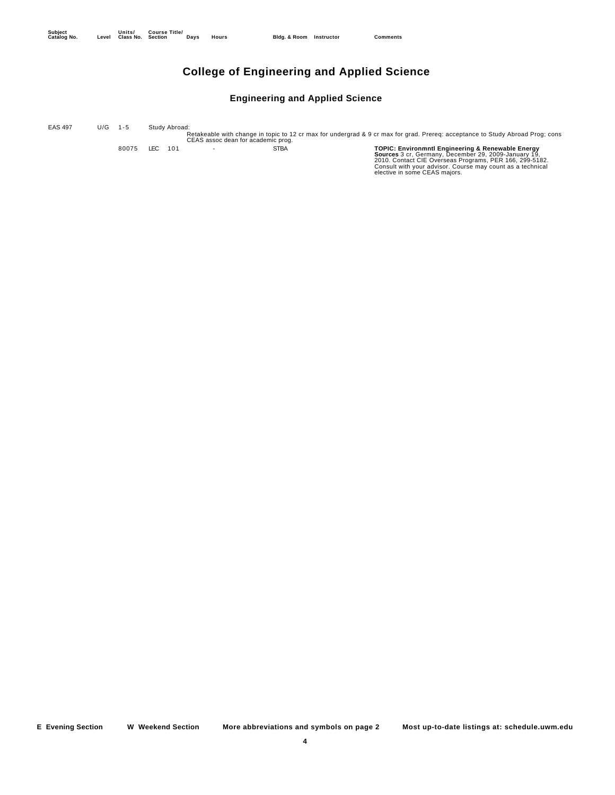## **College of Engineering and Applied Science**

#### **Engineering and Applied Science**

Retakeable with change in topic to 12 cr max for undergrad & 9 cr max for grad. Prereq: acceptance to Study Abroad Prog; cons CEAS assoc dean for academic prog. EAS 497 U/G 1-5 Study Abroad: 80075 LEC 101 - STBA TOPIC: Environment Engineering & Renewable Energy<br>Sources 3 cr, Germany, December 29, 2009-January 19,<br>2010. Contact CIE Overseas Programs, PER 166, 299-5182.<br>Consult with your advisor. Course may coun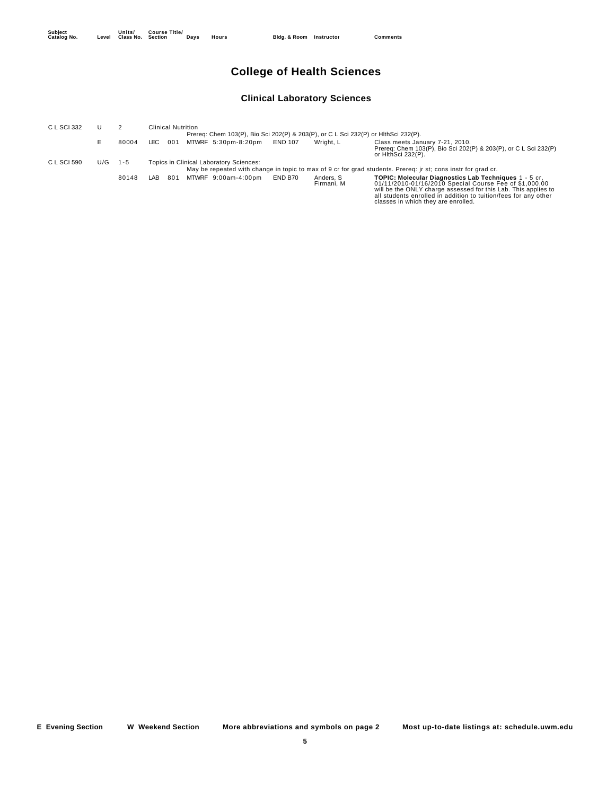## **College of Health Sciences**

## **Clinical Laboratory Sciences**

| C L SCI 332 |     |         |                                                                                    | <b>Clinical Nutrition</b>               |                |                         |                                                                                                                                                                                                                                                                                             |  |  |  |  |  |
|-------------|-----|---------|------------------------------------------------------------------------------------|-----------------------------------------|----------------|-------------------------|---------------------------------------------------------------------------------------------------------------------------------------------------------------------------------------------------------------------------------------------------------------------------------------------|--|--|--|--|--|
|             |     |         | Prereq: Chem 103(P), Bio Sci 202(P) & 203(P), or C L Sci 232(P) or HlthSci 232(P). |                                         |                |                         |                                                                                                                                                                                                                                                                                             |  |  |  |  |  |
|             |     | 80004   | LEC.<br>001                                                                        | MTWRF 5:30pm-8:20pm                     | <b>END 107</b> | Wright, L               | Class meets January 7-21, 2010.<br>Prereq: Chem 103(P), Bio Sci 202(P) & 203(P), or C L Sci 232(P)<br>or HithSci 232(P).                                                                                                                                                                    |  |  |  |  |  |
| C L SCI 590 | U/G | $1 - 5$ |                                                                                    | Topics in Clinical Laboratory Sciences: |                |                         |                                                                                                                                                                                                                                                                                             |  |  |  |  |  |
|             |     |         |                                                                                    |                                         |                |                         | May be repeated with change in topic to max of 9 cr for grad students. Prereg: jr st; cons instr for grad cr.                                                                                                                                                                               |  |  |  |  |  |
|             |     | 80148   | LAB<br>801                                                                         | MTWRF 9:00am-4:00pm                     | END B70        | Anders, S<br>Firmani, M | TOPIC: Molecular Diagnostics Lab Techniques 1 - 5 cr.<br>01/11/2010-01/16/2010 Special Course Fee of \$1,000.00<br>will be the ONLY charge assessed for this Lab. This applies to<br>all students enrolled in addition to tuition/fees for any other<br>classes in which they are enrolled. |  |  |  |  |  |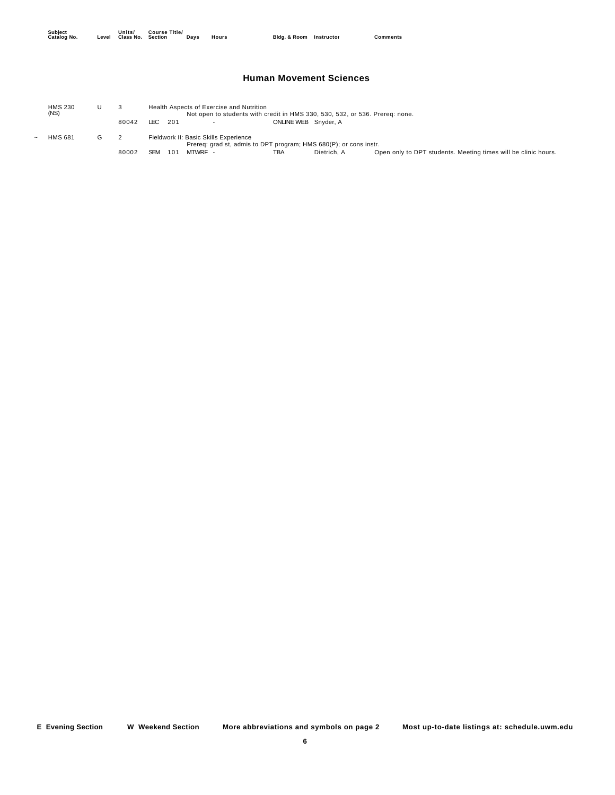#### **Human Movement Sciences**

| <b>HMS 230</b><br>(NS) |   |       |         |     |         | Health Aspects of Exercise and Nutrition |                      | Not open to students with credit in HMS 330, 530, 532, or 536. Prereg: none. |                                                                |
|------------------------|---|-------|---------|-----|---------|------------------------------------------|----------------------|------------------------------------------------------------------------------|----------------------------------------------------------------|
|                        |   | 80042 | LEC 201 |     |         | $\sim$                                   | ONLINE WEB Snyder, A |                                                                              |                                                                |
| <b>HMS 681</b>         | G |       |         |     |         | Fieldwork II: Basic Skills Experience    |                      | Prereq: grad st, admis to DPT program; HMS 680(P); or cons instr.            |                                                                |
|                        |   | 80002 | SEM     | 101 | MTWRF - |                                          | <b>TBA</b>           | Dietrich, A                                                                  | Open only to DPT students. Meeting times will be clinic hours. |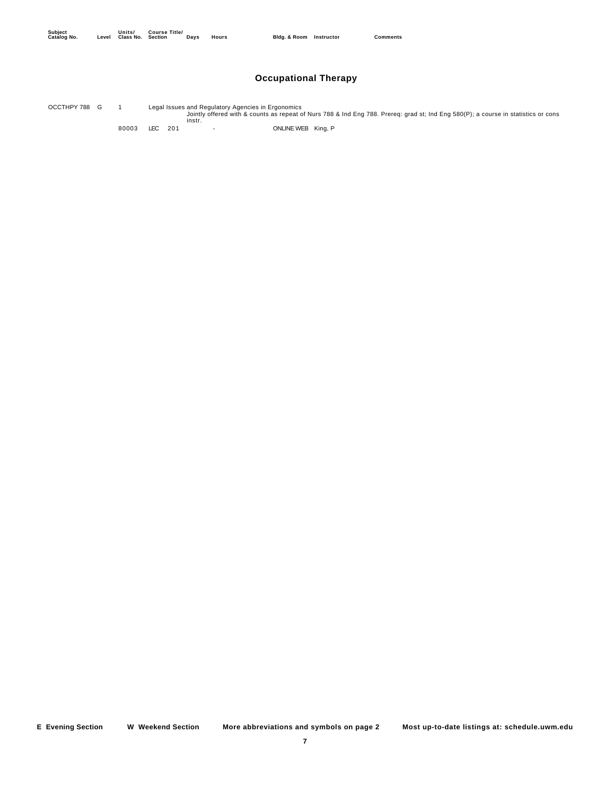## **Occupational Therapy**

Jointly offered with & counts as repeat of Nurs 788 & Ind Eng 788. Prereq: grad st; Ind Eng 580(P); a course in statistics or cons instr. OCCTHPY 788 G 1 Legal Issues and Regulatory Agencies in Ergonomics

80003 LEC 201 - 201 - ONLINE WEB King, P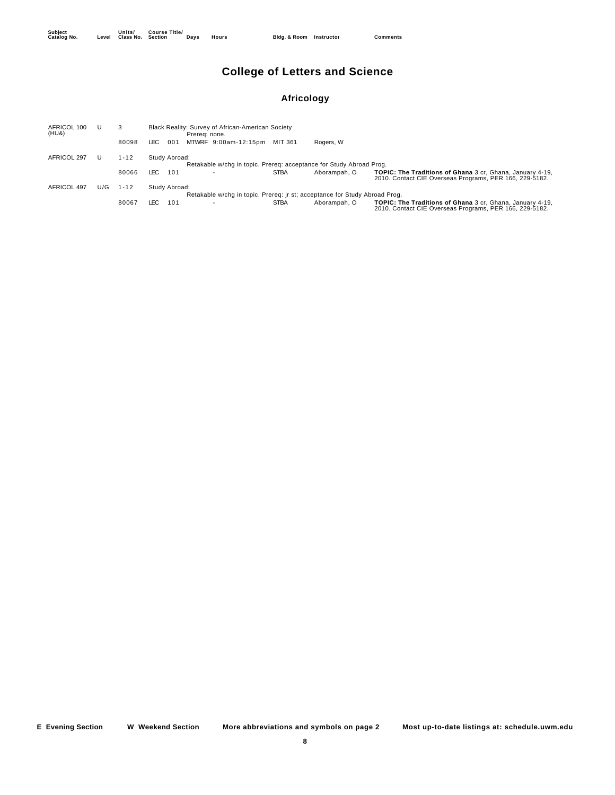## **College of Letters and Science**

## **Africology**

| AFRICOL 100<br>(HU&) |     | 3        | Black Reality: Survey of African-American Society<br>Prereg: none. |                                                                            |             |              |                                                                                                                      |  |  |  |  |
|----------------------|-----|----------|--------------------------------------------------------------------|----------------------------------------------------------------------------|-------------|--------------|----------------------------------------------------------------------------------------------------------------------|--|--|--|--|
|                      |     | 80098    | LEC.<br>001                                                        | MTWRF 9:00am-12:15pm                                                       | MIT 361     | Rogers, W    |                                                                                                                      |  |  |  |  |
| AFRICOL 297          |     | $1 - 12$ | Study Abroad:                                                      | Retakable w/chq in topic. Prereq: acceptance for Study Abroad Proq.        |             |              |                                                                                                                      |  |  |  |  |
|                      |     | 80066    | LEC.<br>101                                                        |                                                                            | <b>STBA</b> | Aborampah, O | TOPIC: The Traditions of Ghana 3 cr. Ghana, January 4-19,<br>2010. Contact CIE Overseas Programs, PER 166, 229-5182. |  |  |  |  |
| AFRICOL 497          | U/G | $1 - 12$ | Study Abroad:                                                      |                                                                            |             |              |                                                                                                                      |  |  |  |  |
|                      |     |          |                                                                    | Retakable w/chq in topic. Prereq: jr st; acceptance for Study Abroad Proq. |             |              |                                                                                                                      |  |  |  |  |
|                      |     | 80067    | LEC.<br>101                                                        |                                                                            | <b>STBA</b> | Aborampah. O | TOPIC: The Traditions of Ghana 3 cr. Ghana, January 4-19,<br>2010. Contact CIE Overseas Programs, PER 166, 229-5182. |  |  |  |  |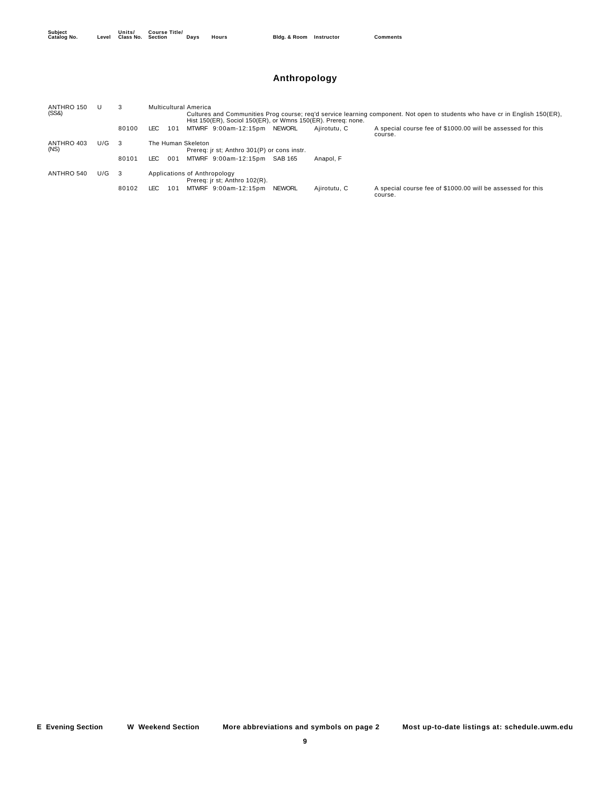## **Anthropology**

| ANTHRO 150<br>(SS8) | U   |       | Multicultural America<br>Cultures and Communities Prog course; reg'd service learning component. Not open to students who have cr in English 150(ER). |  |  |  |  |  |  |  |  |
|---------------------|-----|-------|-------------------------------------------------------------------------------------------------------------------------------------------------------|--|--|--|--|--|--|--|--|
|                     |     |       | Hist 150(ER), Sociol 150(ER), or Wmns 150(ER). Prereq: none.                                                                                          |  |  |  |  |  |  |  |  |
|                     |     | 80100 | A special course fee of \$1000.00 will be assessed for this<br>MTWRF 9:00am-12:15pm<br><b>NEWORL</b><br>LEC.<br>101<br>Aiirotutu. C<br>course.        |  |  |  |  |  |  |  |  |
| ANTHRO 403<br>(NS)  | U/G | - 3   | The Human Skeleton<br>Prereq: jr st; Anthro 301(P) or cons instr.                                                                                     |  |  |  |  |  |  |  |  |
|                     |     | 80101 | MTWRF 9:00am-12:15pm<br>LEC.<br>001<br>SAB 165<br>Anapol. F                                                                                           |  |  |  |  |  |  |  |  |
| ANTHRO 540          | U/G | - 3   | Applications of Anthropology<br>Prereg: jr st; Anthro 102(R).                                                                                         |  |  |  |  |  |  |  |  |
|                     |     | 80102 | A special course fee of \$1000.00 will be assessed for this<br>MTWRF 9:00am-12:15pm<br><b>NEWORL</b><br>LEC<br>101<br>Ajirotutu, C<br>course.         |  |  |  |  |  |  |  |  |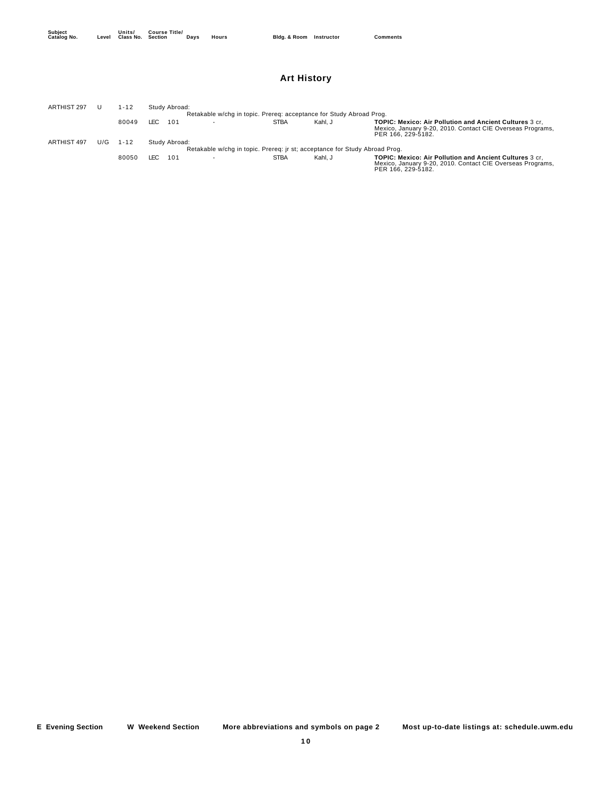## **Art History**

| <b>ARTHIST 297</b> |     | l - 12 |     | Study Abroad: |                          |                                                                            |         |                                                                                                                                                    |
|--------------------|-----|--------|-----|---------------|--------------------------|----------------------------------------------------------------------------|---------|----------------------------------------------------------------------------------------------------------------------------------------------------|
|                    |     |        |     |               |                          | Retakable w/chq in topic. Prereq: acceptance for Study Abroad Proq.        |         |                                                                                                                                                    |
|                    |     | 80049  | LEC | 101           | $\overline{\phantom{a}}$ | <b>STBA</b>                                                                | Kahl. J | <b>TOPIC: Mexico: Air Pollution and Ancient Cultures 3 cr.</b><br>Mexico, January 9-20, 2010. Contact CIE Overseas Programs,<br>PER 166, 229-5182. |
| ARTHIST 497        | U/G | 1-12   |     | Study Abroad: |                          |                                                                            |         |                                                                                                                                                    |
|                    |     |        |     |               |                          | Retakable w/chq in topic. Prereq: jr st; acceptance for Study Abroad Proq. |         |                                                                                                                                                    |
|                    |     | 80050  | LEC | 101           | $\overline{\phantom{a}}$ | <b>STBA</b>                                                                | Kahl, J | TOPIC: Mexico: Air Pollution and Ancient Cultures 3 cr.<br>Mexico, January 9-20, 2010. Contact CIE Overseas Programs,<br>PER 166, 229-5182.        |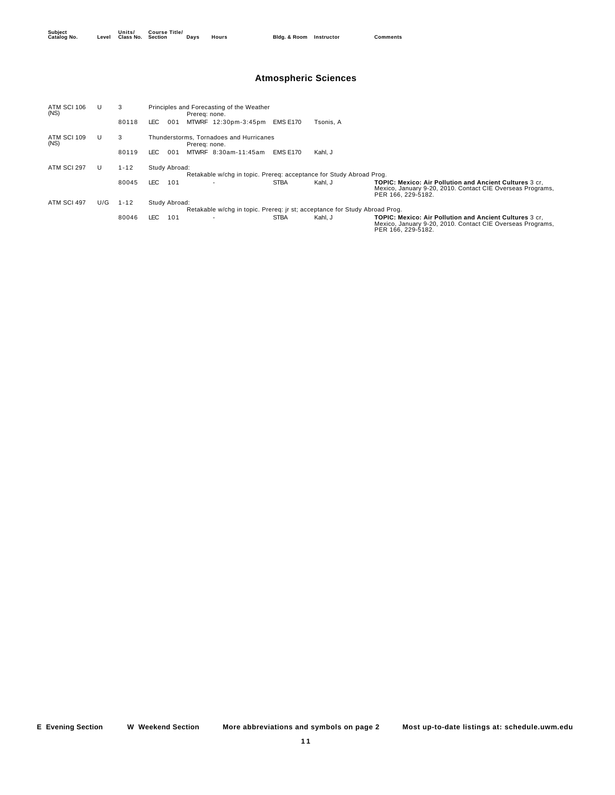## **Atmospheric Sciences**

| ATM SCI 106<br>(NS) |     | 3                                                                   |                                                                            | Prereg: none. | Principles and Forecasting of the Weather |                 |           |                                                                                                                                                    |  |  |
|---------------------|-----|---------------------------------------------------------------------|----------------------------------------------------------------------------|---------------|-------------------------------------------|-----------------|-----------|----------------------------------------------------------------------------------------------------------------------------------------------------|--|--|
|                     |     | 80118                                                               | LEC .<br>001                                                               |               | MTWRF 12:30pm-3:45pm                      | <b>EMS E170</b> | Tsonis. A |                                                                                                                                                    |  |  |
| ATM SCI 109<br>(NS) |     | 3                                                                   |                                                                            | Prereg: none. | Thunderstorms, Tornadoes and Hurricanes   |                 |           |                                                                                                                                                    |  |  |
|                     |     | 80119                                                               | LEC.                                                                       | 001           | MTWRF 8:30am-11:45am                      | <b>EMS E170</b> | Kahl, J   |                                                                                                                                                    |  |  |
| ATM SCI 297         |     | $1 - 12$                                                            | Study Abroad:                                                              |               |                                           |                 |           |                                                                                                                                                    |  |  |
|                     |     | Retakable w/chq in topic. Prereq: acceptance for Study Abroad Proq. |                                                                            |               |                                           |                 |           |                                                                                                                                                    |  |  |
|                     |     | 80045                                                               | LEC .<br>101                                                               |               |                                           | <b>STBA</b>     | Kahl, J   | <b>TOPIC: Mexico: Air Pollution and Ancient Cultures 3 cr.</b><br>Mexico, January 9-20, 2010. Contact CIE Overseas Programs,<br>PER 166, 229-5182. |  |  |
| ATM SCI 497         | U/G | $1 - 12$                                                            | Study Abroad:                                                              |               |                                           |                 |           |                                                                                                                                                    |  |  |
|                     |     |                                                                     | Retakable w/chq in topic. Prereq: ir st; acceptance for Study Abroad Proq. |               |                                           |                 |           |                                                                                                                                                    |  |  |
|                     |     | 80046                                                               | LEC .<br>101                                                               |               | $\overline{\phantom{a}}$                  | <b>STBA</b>     | Kahl, J   | <b>TOPIC: Mexico: Air Pollution and Ancient Cultures 3 cr.</b><br>Mexico, January 9-20, 2010. Contact CIE Overseas Programs,<br>PER 166, 229-5182. |  |  |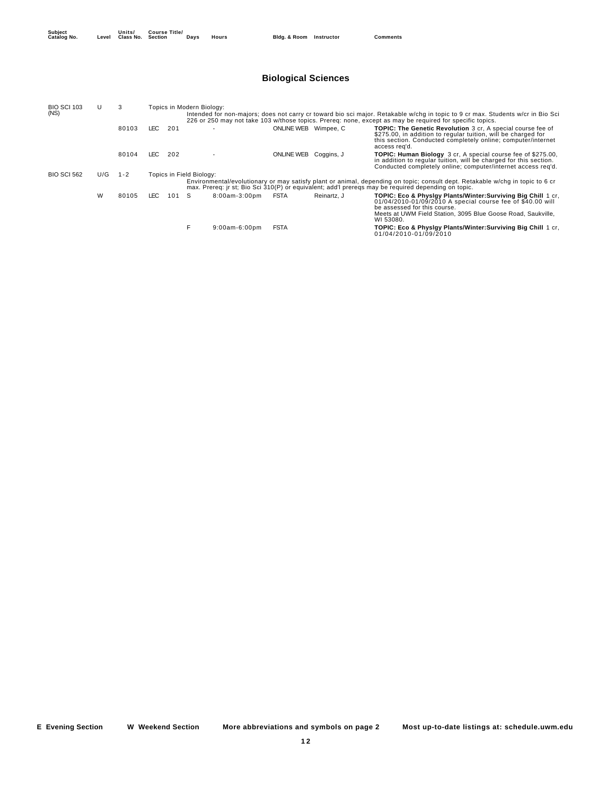## **Biological Sciences**

| <b>BIO SCI 103</b> | U   | 3       | Topics in Modern Biology:<br>Intended for non-majors; does not carry cr toward bio sci major. Retakable w/chq in topic to 9 cr max. Students w/cr in Bio Sci<br>226 or 250 may not take 103 w/those topics. Prereg: none, except as may be required for specific topics. |       |                          |                      |                      |             |                                                                                                                                                                                                                                         |  |  |  |
|--------------------|-----|---------|--------------------------------------------------------------------------------------------------------------------------------------------------------------------------------------------------------------------------------------------------------------------------|-------|--------------------------|----------------------|----------------------|-------------|-----------------------------------------------------------------------------------------------------------------------------------------------------------------------------------------------------------------------------------------|--|--|--|
| (NS)               |     |         |                                                                                                                                                                                                                                                                          |       |                          |                      |                      |             |                                                                                                                                                                                                                                         |  |  |  |
|                    |     | 80103   | LEC .                                                                                                                                                                                                                                                                    | 201   |                          | $\overline{a}$       | ONLINE WEB Wimpee, C |             | <b>TOPIC: The Genetic Revolution</b> 3 cr. A special course fee of<br>\$275.00, in addition to regular tuition, will be charged for<br>this section. Conducted completely online; computer/internet<br>access reg'd.                    |  |  |  |
|                    |     | 80104   | LEC.                                                                                                                                                                                                                                                                     | 202   |                          |                      | <b>ONLINE WEB</b>    | Coggins, J  | <b>TOPIC: Human Biology</b> 3 cr. A special course fee of \$275.00,<br>in addition to regular tuition, will be charged for this section.<br>Conducted completely online; computer/internet access reg'd.                                |  |  |  |
| <b>BIO SCI 562</b> | U/G | $1 - 2$ |                                                                                                                                                                                                                                                                          |       | Topics in Field Biology: |                      |                      |             |                                                                                                                                                                                                                                         |  |  |  |
|                    |     |         |                                                                                                                                                                                                                                                                          |       |                          |                      |                      |             | Environmental/evolutionary or may satisfy plant or animal, depending on topic; consult dept. Retakable w/chg in topic to 6 cr<br>max. Prereg: ir st; Bio Sci 310(P) or equivalent; add'l preregs may be required depending on topic.    |  |  |  |
|                    | W   | 80105   | LEC.                                                                                                                                                                                                                                                                     | 101 S |                          | $8:00$ am- $3:00$ pm | <b>FSTA</b>          | Reinartz, J | TOPIC: Eco & Physigy Plants/Winter:Surviving Big Chill 1 cr.<br>01/04/2010-01/09/2010 A special course fee of \$40.00 will<br>be assessed for this course.<br>Meets at UWM Field Station, 3095 Blue Goose Road, Saukville,<br>WI 53080. |  |  |  |
|                    |     |         |                                                                                                                                                                                                                                                                          |       | F                        | $9:00am-6:00dm$      | <b>FSTA</b>          |             | <b>TOPIC: Eco &amp; Physlgy Plants/Winter: Surviving Big Chill 1 cr.</b><br>01/04/2010-01/09/2010                                                                                                                                       |  |  |  |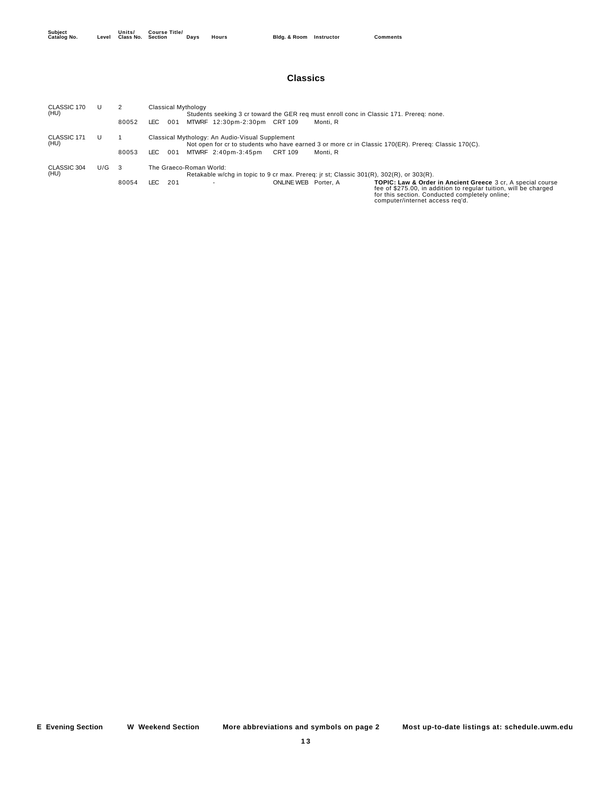#### **Classics**

| CLASSIC 170<br>(HU) |     |       | Classical Mythology<br>Students seeking 3 cr toward the GER reg must enroll conc in Classic 171. Prereg: none.                                                                                                                                                                   |  |  |  |  |  |  |  |  |
|---------------------|-----|-------|----------------------------------------------------------------------------------------------------------------------------------------------------------------------------------------------------------------------------------------------------------------------------------|--|--|--|--|--|--|--|--|
|                     |     | 80052 | MTWRF 12:30pm-2:30pm CRT 109<br>LEC.<br>001<br>Monti, R                                                                                                                                                                                                                          |  |  |  |  |  |  |  |  |
| CLASSIC 171<br>(HU) |     |       | Classical Mythology: An Audio-Visual Supplement<br>Not open for cr to students who have earned 3 or more cr in Classic 170(ER). Prereq: Classic 170(C).                                                                                                                          |  |  |  |  |  |  |  |  |
|                     |     | 80053 | MTWRF 2:40pm-3:45pm<br>CRT 109<br>LEC.<br>001<br>Monti, R                                                                                                                                                                                                                        |  |  |  |  |  |  |  |  |
| CLASSIC 304<br>(HU) | U/G | - 3   | The Graeco-Roman World:<br>Retakable w/chq in topic to 9 cr max. Prereq: jr st; Classic 301(R), 302(R), or 303(R).                                                                                                                                                               |  |  |  |  |  |  |  |  |
|                     |     | 80054 | LEC.<br>201<br><b>ONLINE WEB</b><br><b>TOPIC: Law &amp; Order in Ancient Greece 3 cr. A special course</b><br>Porter, A<br>fee of \$275.00, in addition to regular tuition, will be charged<br>for this section. Conducted completely online;<br>computer/internet access reg'd. |  |  |  |  |  |  |  |  |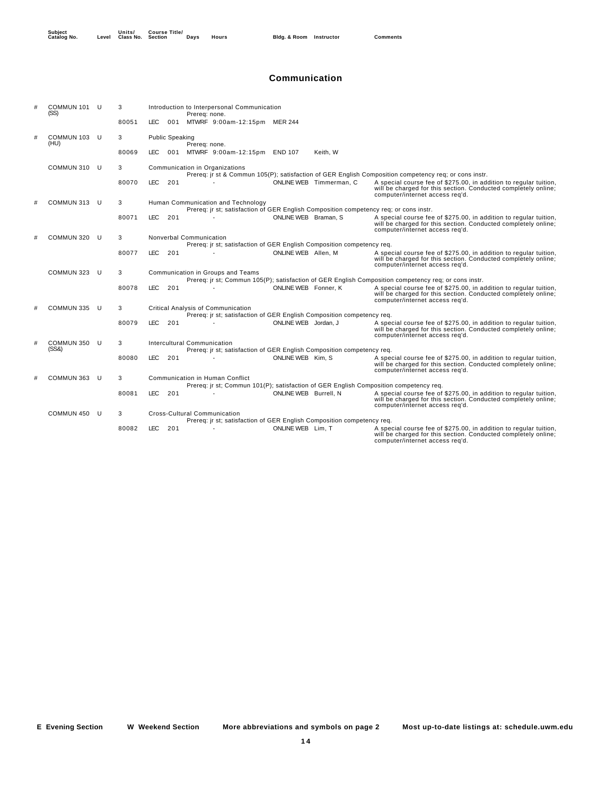#### **Communication**

| # | COMMUN 101<br>(SS)   | U   | 3     | Introduction to Interpersonal Communication<br>Prereg: none.                                                                                                                                                           |
|---|----------------------|-----|-------|------------------------------------------------------------------------------------------------------------------------------------------------------------------------------------------------------------------------|
|   |                      |     | 80051 | LEC.<br>001 MTWRF 9:00am-12:15pm MER 244                                                                                                                                                                               |
| # | COMMUN 103 U<br>(HU) |     | 3     | <b>Public Speaking</b><br>Prerea: none.                                                                                                                                                                                |
|   |                      |     | 80069 | 001 MTWRF 9:00am-12:15pm END 107<br>LEC.<br>Keith, W                                                                                                                                                                   |
|   | COMMUN 310           | -U  | 3     | Communication in Organizations<br>Prereq: jr st & Commun 105(P); satisfaction of GER English Composition competency req; or cons instr.                                                                                |
|   |                      |     | 80070 | <b>LEC</b><br>201<br>ONLINE WEB Timmerman, C<br>A special course fee of \$275.00, in addition to regular tuition,<br>will be charged for this section. Conducted completely online;<br>computer/internet access req'd. |
|   | COMMUN 313           | -U  | 3     | Human Communication and Technology<br>Prereq: jr st; satisfaction of GER English Composition competency req; or cons instr.                                                                                            |
|   |                      |     | 80071 | ONLINE WEB Braman, S<br>LEC.<br>201<br>A special course fee of \$275.00, in addition to regular tuition,<br>will be charged for this section. Conducted completely online;<br>computer/internet access req'd.          |
|   | COMMUN 320           | -U  | 3     | Nonverbal Communication                                                                                                                                                                                                |
|   |                      |     |       | Prereg: ir st; satisfaction of GER English Composition competency reg.                                                                                                                                                 |
|   |                      |     | 80077 | <b>LEC</b><br>201<br>ONLINE WEB Allen, M<br>A special course fee of \$275.00, in addition to regular tuition,<br>will be charged for this section. Conducted completely online;<br>computer/internet access req'd.     |
|   | COMMUN 323           | U   | 3     | Communication in Groups and Teams<br>Prereq: jr st; Commun 105(P); satisfaction of GER English Composition competency req; or cons instr.                                                                              |
|   |                      |     | 80078 | LEC.<br>201<br>ONLINE WEB Fonner, K<br>A special course fee of \$275.00, in addition to regular tuition,                                                                                                               |
|   |                      |     |       | will be charged for this section. Conducted completely online;<br>computer/internet access req'd.                                                                                                                      |
|   | COMMUN 335           | -U  | 3     | Critical Analysis of Communication                                                                                                                                                                                     |
|   |                      |     |       | Prereq: jr st; satisfaction of GER English Composition competency req.<br><b>LEC</b>                                                                                                                                   |
|   |                      |     | 80079 | 201<br>ONLINE WEB Jordan, J<br>A special course fee of \$275.00, in addition to regular tuition,<br>will be charged for this section. Conducted completely online;<br>computer/internet access reg'd.                  |
|   | COMMUN 350           | - U | 3     | Intercultural Communication                                                                                                                                                                                            |
|   | (SS8)                |     |       | Prereq: jr st; satisfaction of GER English Composition competency req.                                                                                                                                                 |
|   |                      |     | 80080 | <b>LEC</b><br>201<br>ONLINE WEB Kim, S<br>A special course fee of \$275.00, in addition to regular tuition,<br>will be charged for this section. Conducted completely online;<br>computer/internet access req'd.       |
|   | COMMUN 363           | -U  | 3     | <b>Communication in Human Conflict</b>                                                                                                                                                                                 |
|   |                      |     |       | Prereq: jr st; Commun 101(P); satisfaction of GER English Composition competency req.                                                                                                                                  |
|   |                      |     | 80081 | LEC.<br>201<br>ONLINE WEB Burrell, N<br>A special course fee of \$275.00, in addition to regular tuition,<br>will be charged for this section. Conducted completely online;<br>computer/internet access req'd.         |
|   | COMMUN 450           | -U  | 3     | Cross-Cultural Communication                                                                                                                                                                                           |
|   |                      |     |       | Prereq: jr st; satisfaction of GER English Composition competency req.                                                                                                                                                 |
|   |                      |     | 80082 | LEC.<br>ONLINE WEB Lim, T<br>201<br>A special course fee of \$275.00, in addition to regular tuition,<br>will be charged for this section. Conducted completely online;<br>computer/internet access reg'd.             |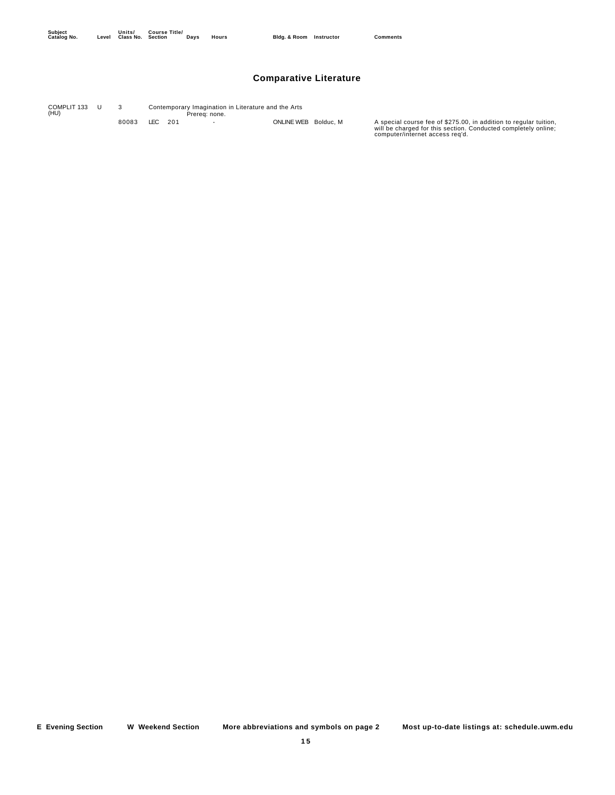### **Comparative Literature**

Prereq: none. COMPLIT 133 (HU) 3 Contemporary Imagination in Literature and the Arts 80083 LEC 201 - ONLINE WEB Bolduc, M A special course fee of \$275.00, in addition to regular tuition, will be charged for this section. Conducted completely online; computer/internet access req'd.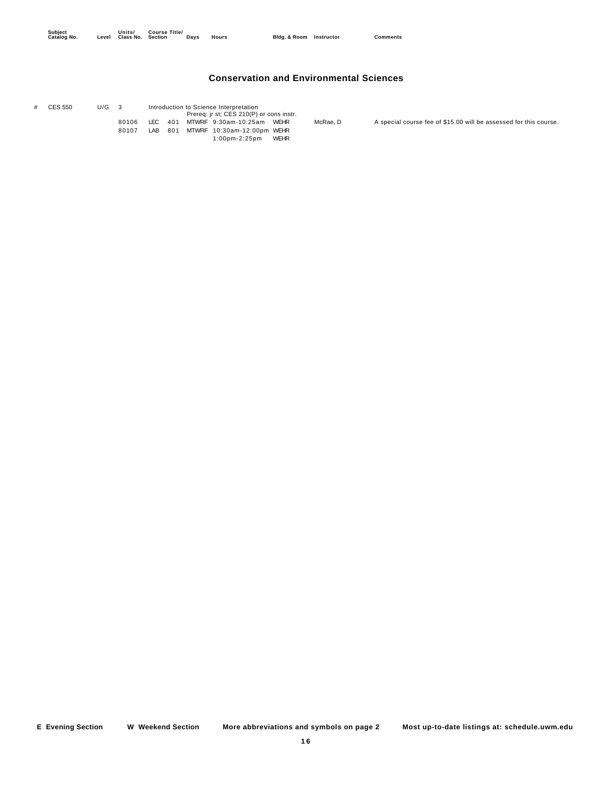## **Conservation and Environmental Sciences**

| # | CES 550                                          | U/G |       |  | Introduction to Science Interpretation |  |                                          |                                                                   |  |  |  |  |
|---|--------------------------------------------------|-----|-------|--|----------------------------------------|--|------------------------------------------|-------------------------------------------------------------------|--|--|--|--|
|   |                                                  |     |       |  |                                        |  | Prereq: jr st; CES 210(P) or cons instr. |                                                                   |  |  |  |  |
|   | 80106<br>LEC 401<br>MTWRF 9:30am-10:25am<br>WEHR |     |       |  |                                        |  | McRae. D                                 | A special course fee of \$15.00 will be assessed for this course. |  |  |  |  |
|   |                                                  |     | 80107 |  | LAB 801                                |  | MTWRF 10:30am-12:00pm WEHR               |                                                                   |  |  |  |  |
|   |                                                  |     |       |  |                                        |  | 1:00pm-2:25pm WEHR                       |                                                                   |  |  |  |  |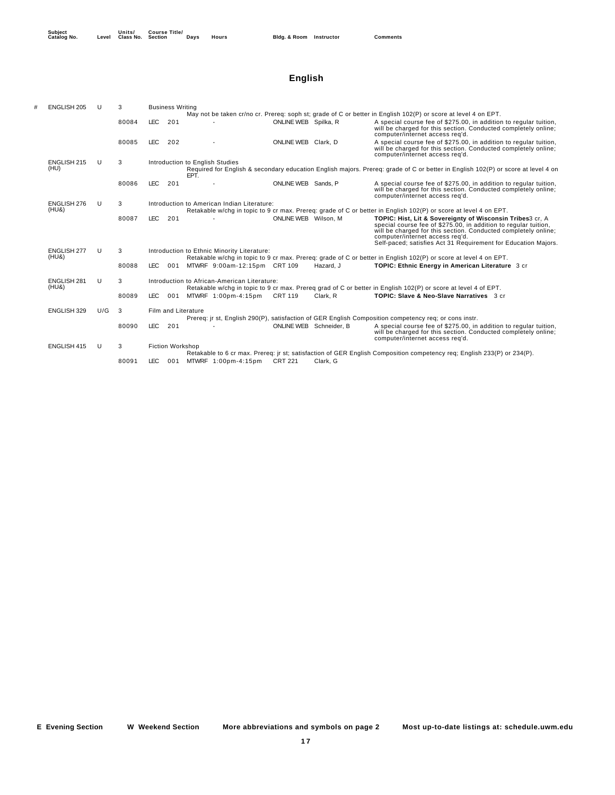## **English**

| <b>ENGLISH 205</b>   | U   | 3     |                                             | <b>Business Writing</b>                                                                                                                                                     |                                              |                         |           |                                                                                                                                                                                                                                                                                                     |  |  |  |  |
|----------------------|-----|-------|---------------------------------------------|-----------------------------------------------------------------------------------------------------------------------------------------------------------------------------|----------------------------------------------|-------------------------|-----------|-----------------------------------------------------------------------------------------------------------------------------------------------------------------------------------------------------------------------------------------------------------------------------------------------------|--|--|--|--|
|                      |     |       |                                             |                                                                                                                                                                             |                                              |                         |           | May not be taken cr/no cr. Prereq: soph st; grade of C or better in English 102(P) or score at level 4 on EPT.                                                                                                                                                                                      |  |  |  |  |
|                      |     | 80084 | <b>LEC</b>                                  | 201                                                                                                                                                                         |                                              | ONLINE WEB Spilka, R    |           | A special course fee of \$275.00, in addition to regular tuition,<br>will be charged for this section. Conducted completely online;<br>computer/internet access req'd.                                                                                                                              |  |  |  |  |
|                      |     | 80085 | LEC.                                        | 202                                                                                                                                                                         |                                              | ONLINE WEB Clark, D     |           | A special course fee of \$275.00, in addition to regular tuition,<br>will be charged for this section. Conducted completely online;<br>computer/internet access reg'd.                                                                                                                              |  |  |  |  |
| ENGLISH 215          | U   | 3     |                                             | Introduction to English Studies<br>Required for English & secondary education English majors. Prereg: grade of C or better in English 102(P) or score at level 4 on<br>EPT. |                                              |                         |           |                                                                                                                                                                                                                                                                                                     |  |  |  |  |
| (HU)                 |     |       |                                             |                                                                                                                                                                             |                                              |                         |           |                                                                                                                                                                                                                                                                                                     |  |  |  |  |
|                      |     | 80086 | <b>LEC</b>                                  | 201                                                                                                                                                                         |                                              | ONLINE WEB Sands, P     |           | A special course fee of \$275.00, in addition to regular tuition,<br>will be charged for this section. Conducted completely online;<br>computer/internet access reg'd.                                                                                                                              |  |  |  |  |
| <b>ENGLISH 276</b>   | U   | 3     | Introduction to American Indian Literature: |                                                                                                                                                                             |                                              |                         |           |                                                                                                                                                                                                                                                                                                     |  |  |  |  |
| (HU&)                |     |       |                                             | Retakable w/chq in topic to 9 cr max. Prereq: grade of C or better in English 102(P) or score at level 4 on EPT.                                                            |                                              |                         |           |                                                                                                                                                                                                                                                                                                     |  |  |  |  |
|                      |     | 80087 | LEC.                                        | 201                                                                                                                                                                         |                                              | ONLINE WEB Wilson, M    |           | TOPIC: Hist, Lit & Sovereignty of Wisconsin Tribes3 cr, A<br>special course fee of \$275.00, in addition to regular tuition,<br>will be charged for this section. Conducted completely online;<br>computer/internet access reg'd.<br>Self-paced; satisfies Act 31 Requirement for Education Majors. |  |  |  |  |
| <b>ENGLISH 277</b>   | U   | 3     |                                             |                                                                                                                                                                             | Introduction to Ethnic Minority Literature:  |                         |           |                                                                                                                                                                                                                                                                                                     |  |  |  |  |
| (HU&)                |     |       |                                             |                                                                                                                                                                             |                                              |                         |           | Retakable w/chq in topic to 9 cr max. Prereq: grade of C or better in English 102(P) or score at level 4 on EPT.                                                                                                                                                                                    |  |  |  |  |
|                      |     | 80088 | <b>LEC</b>                                  | 001                                                                                                                                                                         | MTWRF 9:00am-12:15pm CRT 109                 |                         | Hazard, J | TOPIC: Ethnic Energy in American Literature 3 cr                                                                                                                                                                                                                                                    |  |  |  |  |
| ENGLISH 281<br>(HU&) | U   | 3     |                                             |                                                                                                                                                                             | Introduction to African-American Literature: |                         |           |                                                                                                                                                                                                                                                                                                     |  |  |  |  |
|                      |     |       |                                             |                                                                                                                                                                             |                                              |                         |           | Retakable w/chg in topic to 9 cr max. Prereq grad of C or better in English 102(P) or score at level 4 of EPT.                                                                                                                                                                                      |  |  |  |  |
|                      |     | 80089 | <b>LEC</b>                                  | 001                                                                                                                                                                         | MTWRF 1:00pm-4:15pm                          | <b>CRT 119</b>          | Clark, R  | TOPIC: Slave & Neo-Slave Narratives 3 cr                                                                                                                                                                                                                                                            |  |  |  |  |
| ENGLISH 329          | U/G | 3     |                                             |                                                                                                                                                                             | Film and Literature                          |                         |           |                                                                                                                                                                                                                                                                                                     |  |  |  |  |
|                      |     |       |                                             |                                                                                                                                                                             |                                              |                         |           | Prereq: jr st, English 290(P), satisfaction of GER English Composition competency req; or cons instr.                                                                                                                                                                                               |  |  |  |  |
|                      |     | 80090 | <b>LEC</b>                                  | 201                                                                                                                                                                         |                                              | ONLINE WEB Schneider, B |           | A special course fee of \$275.00, in addition to regular tuition,<br>will be charged for this section. Conducted completely online;<br>computer/internet access reg'd.                                                                                                                              |  |  |  |  |
| <b>ENGLISH 415</b>   | U   | 3     |                                             | <b>Fiction Workshop</b>                                                                                                                                                     |                                              |                         |           |                                                                                                                                                                                                                                                                                                     |  |  |  |  |
|                      |     |       |                                             |                                                                                                                                                                             |                                              |                         |           | Retakable to 6 cr max. Prereq: ir st; satisfaction of GER English Composition competency req; English 233(P) or 234(P).                                                                                                                                                                             |  |  |  |  |
|                      |     | 80091 | <b>LEC</b>                                  | 001                                                                                                                                                                         | MTWRF 1:00pm-4:15pm                          | <b>CRT 221</b>          | Clark. G  |                                                                                                                                                                                                                                                                                                     |  |  |  |  |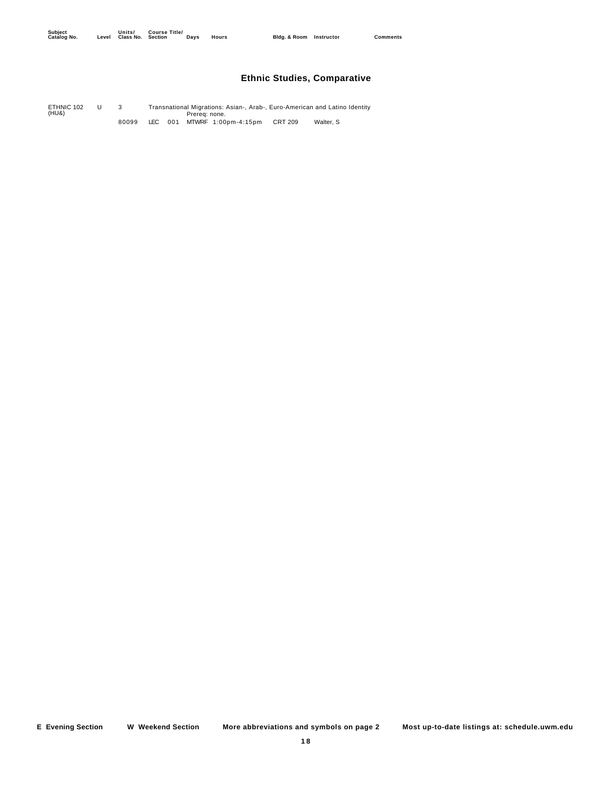## **Ethnic Studies, Comparative**

Prereq: none. U 3 Transnational Migrations: Asian-, Arab-, Euro-American and Latino Identity ETHNIC 102 (HU&) 80099 LEC 001 MTWRF 1:00pm-4:15pm CRT 209 Walter, S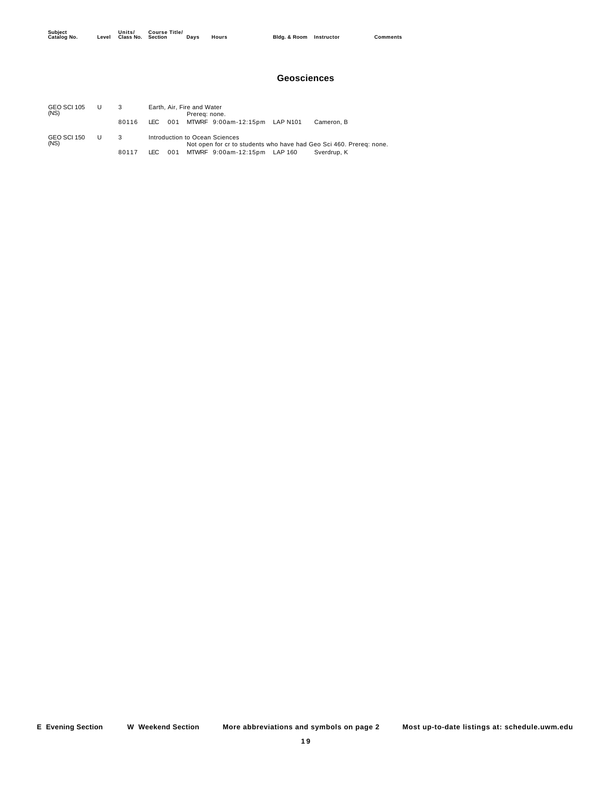#### **Geosciences**

| GEO SCI 105<br>(NS) | Earth, Air, Fire and Water<br>Prerea: none. |      |     |  |                                   |  |                                                                     |  |  |
|---------------------|---------------------------------------------|------|-----|--|-----------------------------------|--|---------------------------------------------------------------------|--|--|
|                     | 80116                                       | LEC. |     |  | 001 MTWRF 9:00am-12:15pm LAP N101 |  | Cameron, B                                                          |  |  |
| GEO SCI 150<br>(NS) | 3                                           |      |     |  | Introduction to Ocean Sciences    |  | Not open for cr to students who have had Geo Sci 460. Prereq: none. |  |  |
|                     | 80117                                       | LEC- | 001 |  | MTWRF 9:00am-12:15pm LAP 160      |  | Sverdrup, K                                                         |  |  |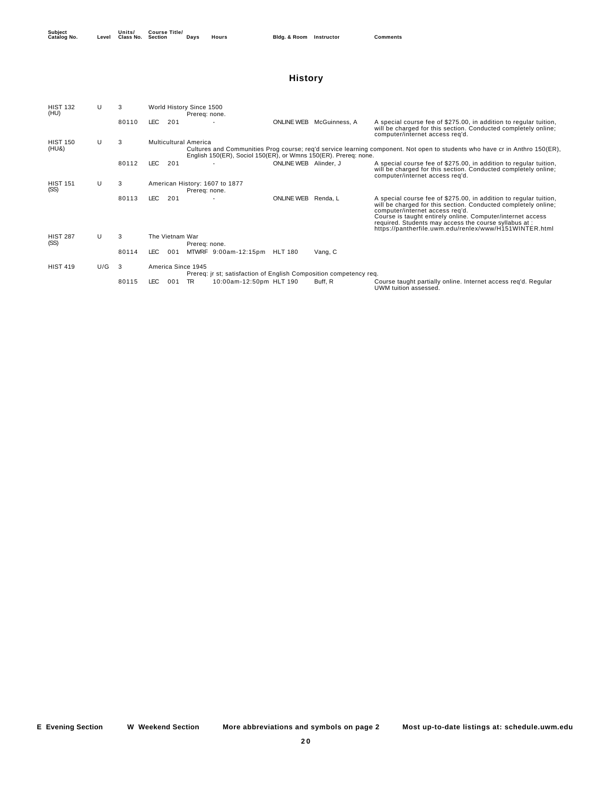## **History**

| <b>HIST 132</b><br>(HU) | U   | 3      |                    |                                                                                                                                                                                                | World History Since 1500<br>Prereg: none. |                                |                       |                                                                    |                                                                                                                                                                                                                                                                                                                                                          |  |  |  |  |
|-------------------------|-----|--------|--------------------|------------------------------------------------------------------------------------------------------------------------------------------------------------------------------------------------|-------------------------------------------|--------------------------------|-----------------------|--------------------------------------------------------------------|----------------------------------------------------------------------------------------------------------------------------------------------------------------------------------------------------------------------------------------------------------------------------------------------------------------------------------------------------------|--|--|--|--|
|                         |     | 80110  | LEC.               | 201                                                                                                                                                                                            |                                           |                                | <b>ONLINE WEB</b>     | McGuinness, A                                                      | A special course fee of \$275.00, in addition to regular tuition,<br>will be charged for this section. Conducted completely online;<br>computer/internet access reg'd.                                                                                                                                                                                   |  |  |  |  |
| <b>HIST 150</b>         | U   | 3      |                    | <b>Multicultural America</b>                                                                                                                                                                   |                                           |                                |                       |                                                                    |                                                                                                                                                                                                                                                                                                                                                          |  |  |  |  |
| (HU&)                   |     |        |                    | Cultures and Communities Prog course; reg'd service learning component. Not open to students who have cr in Anthro 150(ER).<br>English 150(ER), Sociol 150(ER), or Wmns 150(ER). Prereq: none. |                                           |                                |                       |                                                                    |                                                                                                                                                                                                                                                                                                                                                          |  |  |  |  |
|                         |     | 80112  | LEC.               | 201                                                                                                                                                                                            |                                           |                                | ONLINE WEB Alinder, J |                                                                    | A special course fee of \$275.00, in addition to regular tuition,<br>will be charged for this section. Conducted completely online;<br>computer/internet access reg'd.                                                                                                                                                                                   |  |  |  |  |
| <b>HIST 151</b>         | U   | 3      |                    |                                                                                                                                                                                                |                                           | American History: 1607 to 1877 |                       |                                                                    |                                                                                                                                                                                                                                                                                                                                                          |  |  |  |  |
| (SS)                    |     |        |                    |                                                                                                                                                                                                | Prereq: none.                             |                                |                       |                                                                    |                                                                                                                                                                                                                                                                                                                                                          |  |  |  |  |
|                         |     | 80113  | <b>LEC</b>         | 201                                                                                                                                                                                            |                                           |                                | ONLINE WEB Renda, L   |                                                                    | A special course fee of \$275.00, in addition to regular tuition,<br>will be charged for this section. Conducted completely online;<br>computer/internet access reg'd.<br>Course is taught entirely online. Computer/internet access<br>required. Students may access the course syllabus at :<br>https://pantherfile.uwm.edu/renlex/www/H151WINTER.html |  |  |  |  |
| <b>HIST 287</b><br>(SS) | U   | 3      | The Vietnam War    |                                                                                                                                                                                                | Prereq: none.                             |                                |                       |                                                                    |                                                                                                                                                                                                                                                                                                                                                          |  |  |  |  |
|                         |     | 80114  | LEC.               | 001                                                                                                                                                                                            |                                           | MTWRF 9:00am-12:15pm           | <b>HLT 180</b>        | Vang, C                                                            |                                                                                                                                                                                                                                                                                                                                                          |  |  |  |  |
| <b>HIST 419</b>         | U/G | $_{3}$ | America Since 1945 |                                                                                                                                                                                                |                                           |                                |                       | Prereg: jr st; satisfaction of English Composition competency reg. |                                                                                                                                                                                                                                                                                                                                                          |  |  |  |  |
|                         |     | 80115  | LEC.               | 001                                                                                                                                                                                            | TR.                                       | 10:00am-12:50pm HLT 190        |                       | Buff, R                                                            | Course taught partially online. Internet access req'd. Regular<br>UWM tuition assessed.                                                                                                                                                                                                                                                                  |  |  |  |  |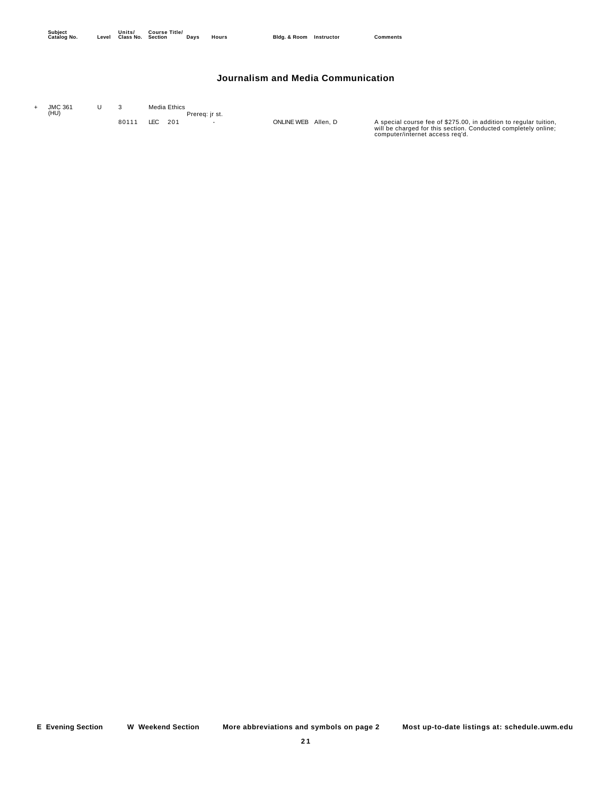#### **Journalism and Media Communication**

| <b>JMC 361</b><br>(HU) |       | Media Ethics | Prereg: ir st. |                     |                                                                                                                                                                        |
|------------------------|-------|--------------|----------------|---------------------|------------------------------------------------------------------------------------------------------------------------------------------------------------------------|
|                        | 80111 | LEC 201      |                | ONLINE WEB Allen, D | A special course fee of \$275.00, in addition to regular tuition,<br>will be charged for this section. Conducted completely online;<br>computer/internet access reg'd. |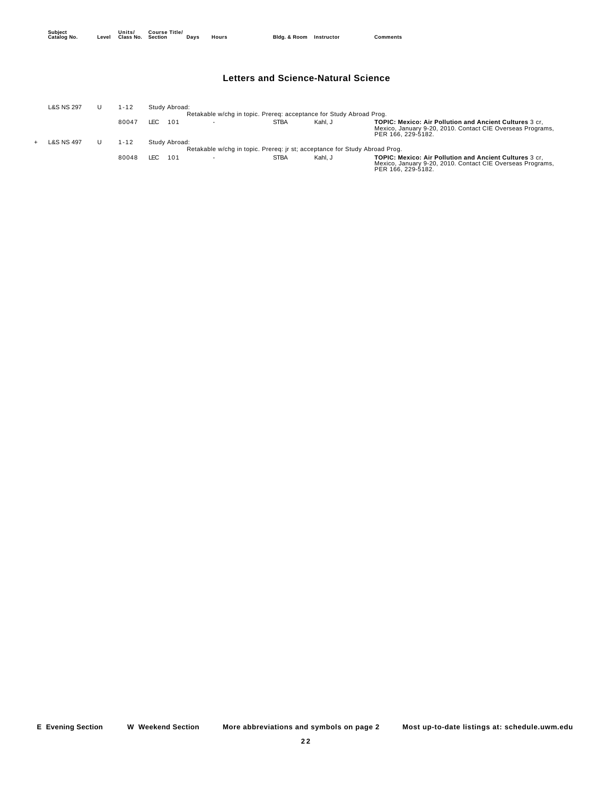#### **Letters and Science-Natural Science**

| L&S NS 297 | $1 - 12$ |       | Study Abroad: |                                                                            |             |         |                                                                                                                                                    |
|------------|----------|-------|---------------|----------------------------------------------------------------------------|-------------|---------|----------------------------------------------------------------------------------------------------------------------------------------------------|
|            |          |       |               | Retakable w/chq in topic. Prereq: acceptance for Study Abroad Proq.        |             |         |                                                                                                                                                    |
|            | 80047    | LEC.  | 101           |                                                                            | <b>STBA</b> | Kahl, J | <b>TOPIC: Mexico: Air Pollution and Ancient Cultures 3 cr.</b><br>Mexico, January 9-20, 2010. Contact CIE Overseas Programs.<br>PER 166, 229-5182. |
| L&S NS 497 | 1-12     |       | Study Abroad: |                                                                            |             |         |                                                                                                                                                    |
|            |          |       |               | Retakable w/chq in topic. Prereq: jr st; acceptance for Study Abroad Proq. |             |         |                                                                                                                                                    |
|            | 80048    | I FC. | 101           |                                                                            | <b>STBA</b> | Kahl, J | <b>TOPIC: Mexico: Air Pollution and Ancient Cultures 3 cr.</b><br>Mexico, January 9-20, 2010. Contact CIE Overseas Programs,<br>PER 166, 229-5182. |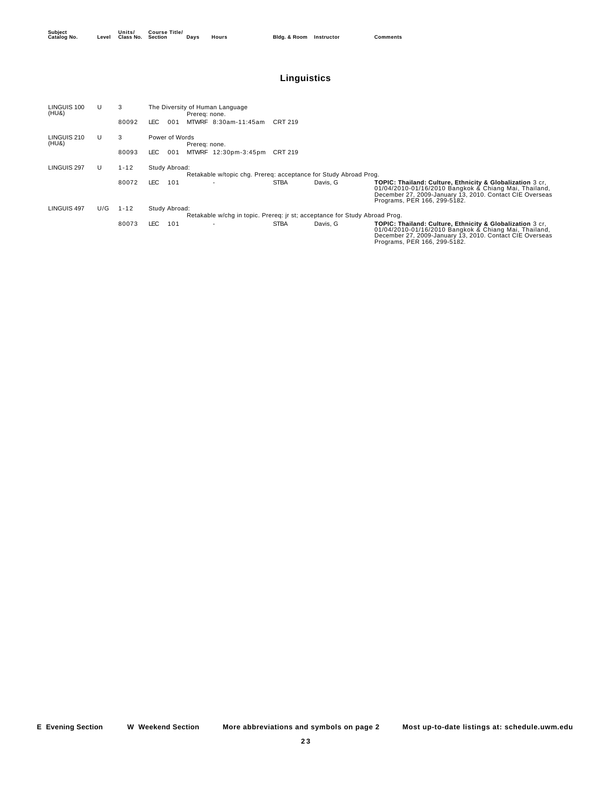## **Linguistics**

| LINGUIS 100<br>(HU&) | U   | 3        | The Diversity of Human Language<br>Prereg: none.                                  |             |          |                                                                                                                                                                                                                |
|----------------------|-----|----------|-----------------------------------------------------------------------------------|-------------|----------|----------------------------------------------------------------------------------------------------------------------------------------------------------------------------------------------------------------|
|                      |     | 80092    | LEC.<br>MTWRF 8:30am-11:45am<br>001                                               | CRT 219     |          |                                                                                                                                                                                                                |
| LINGUIS 210<br>(HU&) | U   | 3        | Power of Words<br>Prereg: none.                                                   |             |          |                                                                                                                                                                                                                |
|                      |     | 80093    | LEC.<br>001<br>MTWRF 12:30pm-3:45pm                                               | CRT 219     |          |                                                                                                                                                                                                                |
| LINGUIS 297          | U   | $1 - 12$ | Study Abroad:<br>Retakable w/topic chg. Prereg: acceptance for Study Abroad Prog. |             |          |                                                                                                                                                                                                                |
|                      |     | 80072    | LEC.<br>101                                                                       | <b>STBA</b> | Davis, G | TOPIC: Thailand: Culture, Ethnicity & Globalization 3 cr,<br>01/04/2010-01/16/2010 Bangkok & Chiang Mai, Thailand,<br>December 27, 2009-January 13, 2010. Contact CIE Overseas<br>Programs, PER 166, 299-5182. |
| LINGUIS 497          | U/G | $1 - 12$ | Study Abroad:                                                                     |             |          |                                                                                                                                                                                                                |
|                      |     |          | Retakable w/chg in topic. Prereq: jr st; acceptance for Study Abroad Prog.        |             |          |                                                                                                                                                                                                                |
|                      |     | 80073    | LEC.<br>101                                                                       | <b>STBA</b> | Davis, G | TOPIC: Thailand: Culture, Ethnicity & Globalization 3 cr.<br>01/04/2010-01/16/2010 Bangkok & Chiang Mai, Thailand,<br>December 27, 2009-January 13, 2010. Contact CIE Overseas<br>Programs, PER 166, 299-5182. |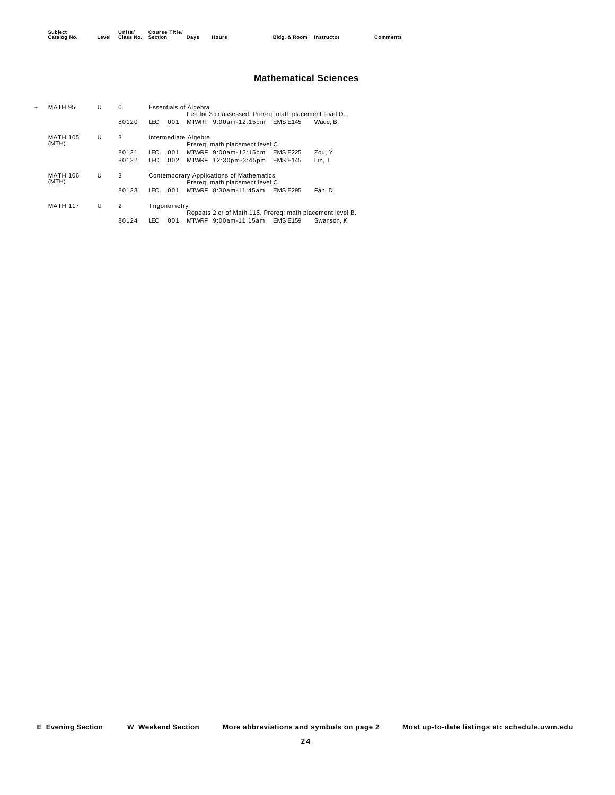**Units/ Class No. Course Title/ Section Days Hours Bldg. & Room Instructor Comments**

#### **Mathematical Sciences**

| <b>MATH 95</b>           | U | $\Omega$       |                                                                             |              | <b>Essentials of Algebra</b>                                                                                       |  |  |  |  |  |  |  |
|--------------------------|---|----------------|-----------------------------------------------------------------------------|--------------|--------------------------------------------------------------------------------------------------------------------|--|--|--|--|--|--|--|
|                          |   |                |                                                                             |              | Fee for 3 cr assessed. Prereq: math placement level D.                                                             |  |  |  |  |  |  |  |
|                          |   | 80120          | LEC.                                                                        | 001          | MTWRF 9:00am-12:15pm<br><b>EMS E145</b><br>Wade, B                                                                 |  |  |  |  |  |  |  |
| <b>MATH 105</b><br>(MTH) | U | 3              | Intermediate Algebra<br>Prereq: math placement level C.                     |              |                                                                                                                    |  |  |  |  |  |  |  |
|                          |   | 80121          | LEC.                                                                        | 001          | <b>EMS E225</b><br>MTWRF 9:00am-12:15pm<br>Zou. Y                                                                  |  |  |  |  |  |  |  |
|                          |   | 80122          | LEC                                                                         | 002          | <b>EMS E145</b><br>MTWRF 12:30pm-3:45pm<br>Lin, T                                                                  |  |  |  |  |  |  |  |
| <b>MATH 106</b><br>(MTH) | U | 3              | Contemporary Applications of Mathematics<br>Prereg: math placement level C. |              |                                                                                                                    |  |  |  |  |  |  |  |
|                          |   | 80123          | LEC                                                                         | 001          | MTWRF 8:30am-11:45am<br><b>EMS E295</b><br>Fan. D                                                                  |  |  |  |  |  |  |  |
| <b>MATH 117</b>          | U | $\overline{2}$ |                                                                             | Trigonometry |                                                                                                                    |  |  |  |  |  |  |  |
|                          |   | 80124          | LEC.                                                                        | 001          | Repeats 2 cr of Math 115. Prereg: math placement level B.<br>MTWRF 9:00am-11:15am<br><b>EMS E159</b><br>Swanson, K |  |  |  |  |  |  |  |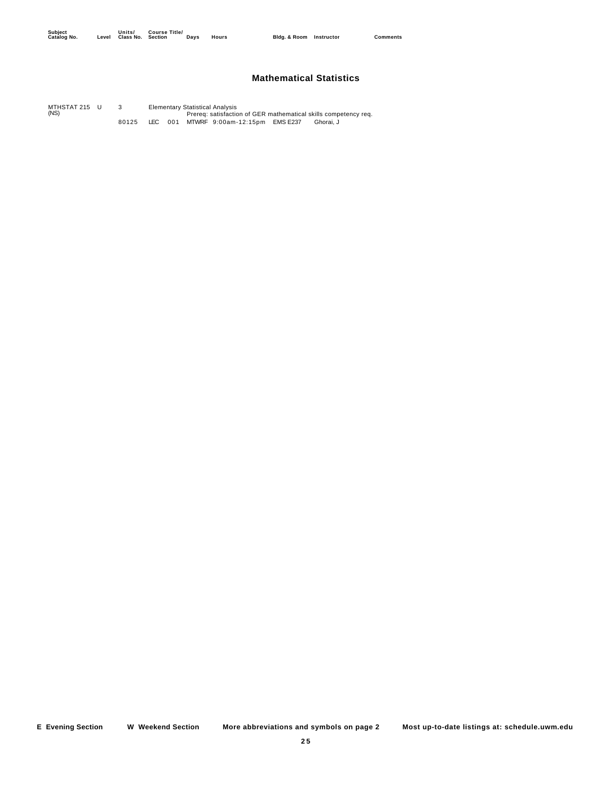#### **Mathematical Statistics**

U 3 Elementary Statistical Analysis<br>Prereq: satisfaction of GER mathematical skills competency req. MTHSTAT 215 (NS) 80125 LEC 001 MTWRF 9:00am-12:15pm EMS E237 Ghorai, J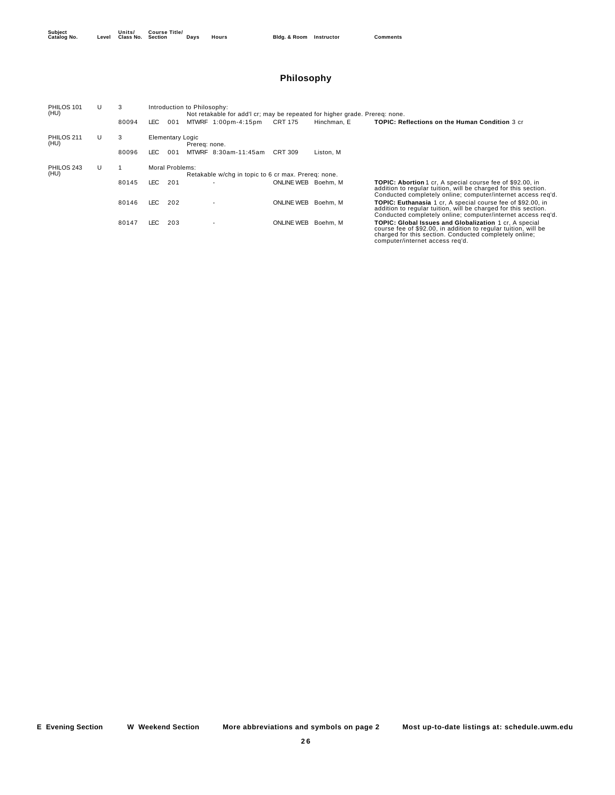## **Philosophy**

| PHILOS 101<br>(HU) | U | 3     |       | Introduction to Philosophy:<br>Not retakable for add'l cr; may be repeated for higher grade. Prereq: none. |               |                      |                     |             |                                                                                                                                                                                                                              |                   |          |                                                                                                                                                                                                      |  |  |
|--------------------|---|-------|-------|------------------------------------------------------------------------------------------------------------|---------------|----------------------|---------------------|-------------|------------------------------------------------------------------------------------------------------------------------------------------------------------------------------------------------------------------------------|-------------------|----------|------------------------------------------------------------------------------------------------------------------------------------------------------------------------------------------------------|--|--|
|                    |   | 80094 | LEC.  | 001                                                                                                        |               | MTWRF 1:00pm-4:15pm  | CRT 175             | Hinchman, E | <b>TOPIC: Reflections on the Human Condition 3 cr</b>                                                                                                                                                                        |                   |          |                                                                                                                                                                                                      |  |  |
| PHILOS 211<br>(HU) | U | 3     |       | <b>Elementary Logic</b>                                                                                    | Prereg: none. |                      |                     |             |                                                                                                                                                                                                                              |                   |          |                                                                                                                                                                                                      |  |  |
|                    |   | 80096 | LEC-  | 001                                                                                                        |               | MTWRF 8:30am-11:45am | CRT 309             | Liston, M   |                                                                                                                                                                                                                              |                   |          |                                                                                                                                                                                                      |  |  |
| PHILOS 243<br>(HU) | U |       |       | Moral Problems:<br>Retakable w/chq in topic to 6 cr max. Prereq: none.                                     |               |                      |                     |             |                                                                                                                                                                                                                              |                   |          |                                                                                                                                                                                                      |  |  |
|                    |   | 80145 | LEC . | 201                                                                                                        |               |                      | ONLINE WEB Boehm, M |             | <b>TOPIC: Abortion</b> 1 cr, A special course fee of \$92.00, in<br>addition to regular tuition, will be charged for this section.<br>Conducted completely online; computer/internet access reg'd.                           |                   |          |                                                                                                                                                                                                      |  |  |
|                    |   |       |       |                                                                                                            | 80146         | LEC.                 | 202                 |             |                                                                                                                                                                                                                              | <b>ONLINE WEB</b> | Boehm, M | <b>TOPIC: Euthanasia</b> 1 cr, A special course fee of \$92.00, in<br>addition to regular tuition, will be charged for this section.<br>Conducted completely online; computer/internet access reg'd. |  |  |
|                    |   | 80147 | LEC.  | 203                                                                                                        |               |                      | <b>ONLINE WEB</b>   | Boehm, M    | <b>TOPIC: Global Issues and Globalization 1 cr. A special</b><br>course fee of \$92.00, in addition to regular tuition, will be<br>charged for this section. Conducted completely online;<br>computer/internet access reg'd. |                   |          |                                                                                                                                                                                                      |  |  |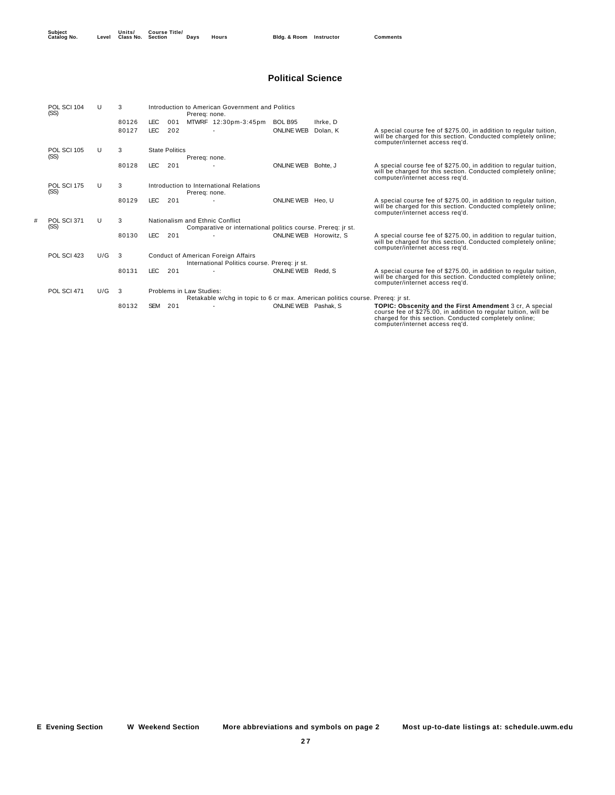## **Political Science**

|   | POL SCI 104<br>(SS) |     | 3     |            |                       | Prereq: none.            | Introduction to American Government and Politics             |                        |                                                                                |                                                                                                                                                                                                                          |
|---|---------------------|-----|-------|------------|-----------------------|--------------------------|--------------------------------------------------------------|------------------------|--------------------------------------------------------------------------------|--------------------------------------------------------------------------------------------------------------------------------------------------------------------------------------------------------------------------|
|   |                     |     | 80126 | LEC        | 001                   |                          | MTWRF 12:30pm-3:45pm                                         | BOL B95                | Ihrke, D                                                                       |                                                                                                                                                                                                                          |
|   |                     |     | 80127 | LEC        | 202                   |                          |                                                              | <b>ONLINE WEB</b>      | Dolan, K                                                                       | A special course fee of \$275.00, in addition to regular tuition,<br>will be charged for this section. Conducted completely online;<br>computer/internet access reg'd.                                                   |
|   | <b>POL SCI 105</b>  | U   | 3     |            | <b>State Politics</b> |                          |                                                              |                        |                                                                                |                                                                                                                                                                                                                          |
|   | (SS)                |     |       |            |                       | Prereq: none.            |                                                              |                        |                                                                                |                                                                                                                                                                                                                          |
|   |                     |     | 80128 | LEC.       | 201                   |                          |                                                              | ONLINE WEB Bohte, J    |                                                                                | A special course fee of \$275.00, in addition to regular tuition,<br>will be charged for this section. Conducted completely online;<br>computer/internet access reg'd.                                                   |
|   | POL SCI 175<br>(SS) | U   | 3     |            |                       | Prereq: none.            | Introduction to International Relations                      |                        |                                                                                |                                                                                                                                                                                                                          |
|   |                     |     | 80129 | <b>LEC</b> | 201                   |                          |                                                              | ONLINE WEB Heo. U      |                                                                                | A special course fee of \$275.00, in addition to regular tuition,<br>will be charged for this section. Conducted completely online;<br>computer/internet access reg'd.                                                   |
| # | POL SCI 371         | U   | 3     |            |                       |                          | Nationalism and Ethnic Conflict                              |                        |                                                                                |                                                                                                                                                                                                                          |
|   | (SS)                |     |       |            |                       |                          | Comparative or international politics course. Prereq: jr st. |                        |                                                                                |                                                                                                                                                                                                                          |
|   |                     |     | 80130 | <b>LEC</b> | 201                   |                          |                                                              | ONLINE WEB Horowitz, S |                                                                                | A special course fee of \$275.00, in addition to regular tuition,<br>will be charged for this section. Conducted completely online;<br>computer/internet access reg'd.                                                   |
|   | POL SCI 423         | U/G | 3     |            |                       |                          | Conduct of American Foreign Affairs                          |                        |                                                                                |                                                                                                                                                                                                                          |
|   |                     |     |       |            |                       |                          | International Politics course. Prereq: jr st.                |                        |                                                                                |                                                                                                                                                                                                                          |
|   |                     |     | 80131 | <b>LEC</b> | 201                   |                          |                                                              | ONLINE WEB Redd, S     |                                                                                | A special course fee of \$275.00, in addition to regular tuition,<br>will be charged for this section. Conducted completely online;<br>computer/internet access reg'd.                                                   |
|   | POL SCI 471         | U/G | 3     |            |                       | Problems in Law Studies: |                                                              |                        |                                                                                |                                                                                                                                                                                                                          |
|   |                     |     |       |            |                       |                          |                                                              |                        | Retakable w/chq in topic to 6 cr max. American politics course. Prereq: jr st. |                                                                                                                                                                                                                          |
|   |                     |     | 80132 | <b>SEM</b> | 201                   |                          |                                                              | ONLINE WEB Pashak, S   |                                                                                | TOPIC: Obscenity and the First Amendment 3 cr, A special<br>course fee of \$275.00, in addition to regular tuition, will be<br>charged for this section. Conducted completely online;<br>computer/internet access reg'd. |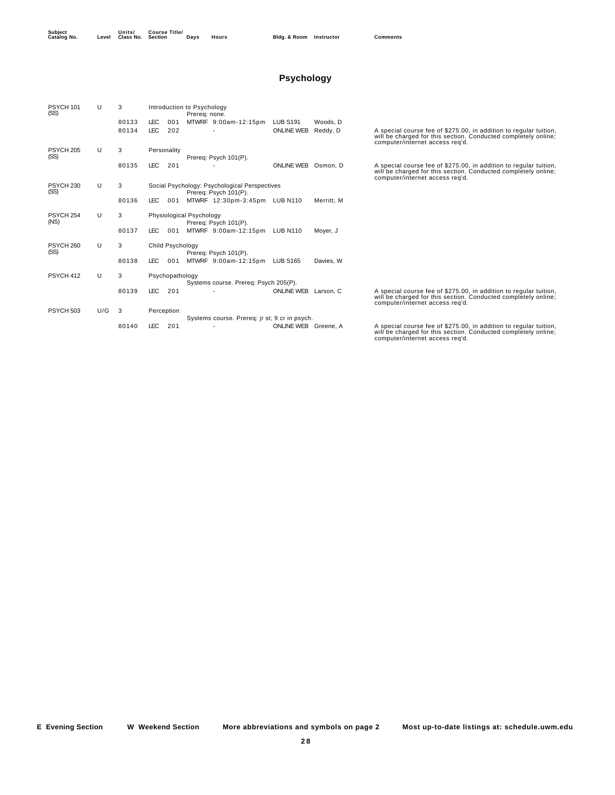## **Psychology**

| PSYCH 101<br>(SS)            | U   | 3     | Introduction to Psychology<br>Prereg: none. |                  |                          |                                                                        |                      |            |                                                                                                                                                                        |  |  |  |
|------------------------------|-----|-------|---------------------------------------------|------------------|--------------------------|------------------------------------------------------------------------|----------------------|------------|------------------------------------------------------------------------------------------------------------------------------------------------------------------------|--|--|--|
|                              |     | 80133 | LEC.                                        | 001              |                          | MTWRF 9:00am-12:15pm                                                   | <b>LUB S191</b>      | Woods, D   |                                                                                                                                                                        |  |  |  |
|                              |     | 80134 | <b>LEC</b>                                  | 202              |                          |                                                                        | <b>ONLINE WEB</b>    | Reddy, D   | A special course fee of \$275.00, in addition to regular tuition,<br>will be charged for this section. Conducted completely online;<br>computer/internet access reg'd. |  |  |  |
| PSYCH <sub>205</sub><br>(SS) | U   | 3     |                                             | Personality      |                          | Prereg: Psych 101(P).                                                  |                      |            |                                                                                                                                                                        |  |  |  |
|                              |     | 80135 | <b>LEC</b>                                  | 201              |                          |                                                                        | ONLINE WEB Osmon, D  |            | A special course fee of \$275.00, in addition to regular tuition,<br>will be charged for this section. Conducted completely online;<br>computer/internet access reg'd. |  |  |  |
| PSYCH <sub>230</sub><br>(SS) | U   | 3     |                                             |                  |                          | Social Psychology: Psychological Perspectives<br>Prereg: Psych 101(P). |                      |            |                                                                                                                                                                        |  |  |  |
|                              |     | 80136 | <b>LEC</b>                                  | 001              |                          | MTWRF 12:30pm-3:45pm LUB N110                                          |                      | Merritt, M |                                                                                                                                                                        |  |  |  |
| PSYCH <sub>254</sub><br>(NS) | U   | 3     |                                             |                  | Physiological Psychology | Prereg: Psych 101(P).                                                  |                      |            |                                                                                                                                                                        |  |  |  |
|                              |     | 80137 | LEC.                                        | 001              |                          | MTWRF 9:00am-12:15pm                                                   | <b>LUB N110</b>      | Moyer, J   |                                                                                                                                                                        |  |  |  |
| PSYCH <sub>260</sub><br>(SS) | U   | 3     |                                             | Child Psychology |                          | Prereg: Psych 101(P).                                                  |                      |            |                                                                                                                                                                        |  |  |  |
|                              |     | 80138 | LEC.                                        | 001              |                          | MTWRF 9:00am-12:15pm                                                   | <b>LUB S165</b>      | Davies, W  |                                                                                                                                                                        |  |  |  |
| PSYCH 412                    | U   | 3     |                                             | Psychopathology  |                          | Systems course. Prereq: Psych 205(P).                                  |                      |            |                                                                                                                                                                        |  |  |  |
|                              |     | 80139 | <b>LEC</b>                                  | 201              |                          |                                                                        | ONLINE WEB Larson, C |            | A special course fee of \$275.00, in addition to regular tuition,<br>will be charged for this section. Conducted completely online;<br>computer/internet access reg'd. |  |  |  |
| PSYCH 503                    | U/G | 3     |                                             | Perception       |                          | Systems course. Prereq: jr st; 9 cr in psych.                          |                      |            |                                                                                                                                                                        |  |  |  |
|                              |     | 80140 | <b>LEC</b>                                  | 201              |                          |                                                                        | ONLINE WEB Greene, A |            | A special course fee of \$275.00, in addition to regular tuition,<br>will be charged for this section. Conducted completely online;<br>computer/internet access reg'd. |  |  |  |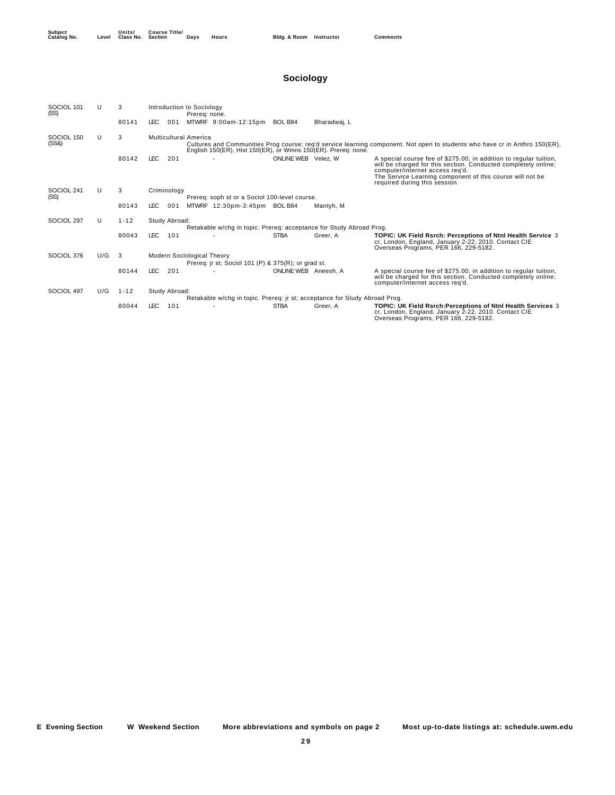| <b>Subject</b> | Level | Units/    | <b>Course Title</b> |
|----------------|-------|-----------|---------------------|
| Catalog No.    |       | Class No. | Section             |
|                |       |           |                     |

## **Sociology**

| SOCIOL 101<br>(SS)  | $\mathbf{U}$ | 3        |                              | Introduction to Sociology<br>Prereg: none.                                        |                      |              |                                                                                                                                                                                                                                                                      |
|---------------------|--------------|----------|------------------------------|-----------------------------------------------------------------------------------|----------------------|--------------|----------------------------------------------------------------------------------------------------------------------------------------------------------------------------------------------------------------------------------------------------------------------|
|                     |              | 80141    | <b>LEC</b><br>001            | MTWRF 9:00am-12:15pm                                                              | BOL B84              | Bharadwaj, L |                                                                                                                                                                                                                                                                      |
| SOCIOL 150<br>(SS8) | U            | 3        | <b>Multicultural America</b> | English 150(ER), Hist 150(ER), or Wmns 150(ER). Prereg: none.                     |                      |              | Cultures and Communities Prog course; req'd service learning component. Not open to students who have cr in Anthro 150(ER),                                                                                                                                          |
|                     |              | 80142    | <b>LEC</b><br>201            |                                                                                   | ONLINE WEB Velez, W  |              | A special course fee of \$275.00, in addition to regular tuition,<br>will be charged for this section. Conducted completely online;<br>computer/internet access reg'd.<br>The Service Learning component of this course will not be<br>required during this session. |
| SOCIOL 241<br>(SS)  | U            | 3        | Criminology                  | Prereg: soph st or a Sociol 100-level course.                                     |                      |              |                                                                                                                                                                                                                                                                      |
|                     |              | 80143    | <b>LEC</b><br>001            | MTWRF 12:30pm-3:45pm BOL B84                                                      |                      | Mantyh, M    |                                                                                                                                                                                                                                                                      |
| SOCIOL 297          | U            | $1 - 12$ | Study Abroad:                | Retakable w/chg in topic. Prereq: acceptance for Study Abroad Prog.               |                      |              |                                                                                                                                                                                                                                                                      |
|                     |              | 80043    | <b>LEC</b><br>101            |                                                                                   | <b>STBA</b>          | Greer, A     | TOPIC: UK Field Rsrch: Perceptions of Ntnl Health Service 3<br>cr, London, England, January 2-22, 2010. Contact CIE<br>Overseas Programs, PER 166, 229-5182.                                                                                                         |
| SOCIOL 376          | U/G          | -3       |                              | Modern Sociological Theory<br>Prereq: jr st; Sociol 101 (P) & 375(R); or grad st. |                      |              |                                                                                                                                                                                                                                                                      |
|                     |              | 80144    | <b>LEC</b><br>201            |                                                                                   | ONLINE WEB Aneesh, A |              | A special course fee of \$275.00, in addition to regular tuition,<br>will be charged for this section. Conducted completely online;<br>computer/internet access reg'd.                                                                                               |
| SOCIOL 497          | U/G          | $1 - 12$ | Study Abroad:                | Retakable w/chg in topic. Prereq: jr st; acceptance for Study Abroad Prog.        |                      |              |                                                                                                                                                                                                                                                                      |
|                     |              | 80044    | <b>LEC</b><br>101            |                                                                                   | <b>STBA</b>          | Greer, A     | TOPIC: UK Field Rsrch: Perceptions of Ntnl Health Services 3<br>cr, London, England, January 2-22, 2010. Contact CIE<br>Overseas Programs, PER 166, 229-5182.                                                                                                        |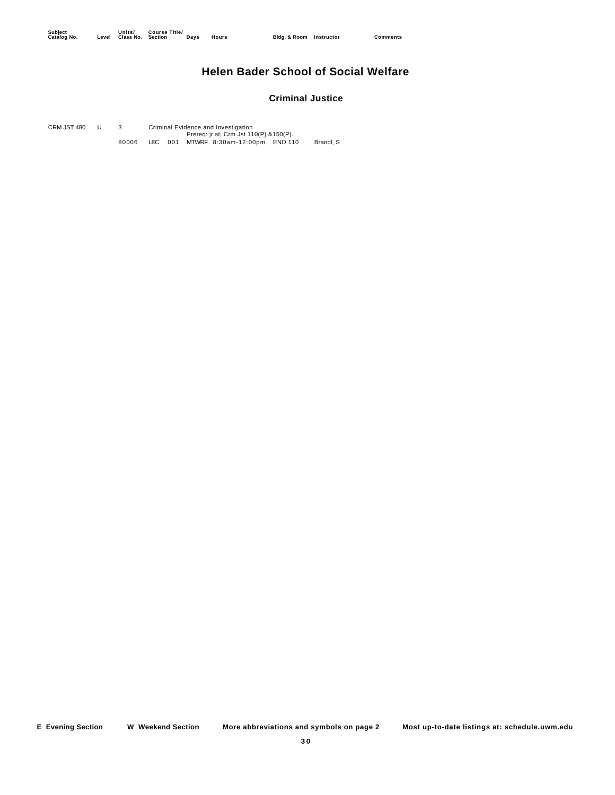## **Helen Bader School of Social Welfare**

#### **Criminal Justice**

CRM JST 480 U 3 Criminal Evidence and Investigation<br>Prereq: jr st; Crm Jst 110(P) &150(P). 80006 LEC 001 MTWRF 8:30am-12:00pm END 110 Brandl, S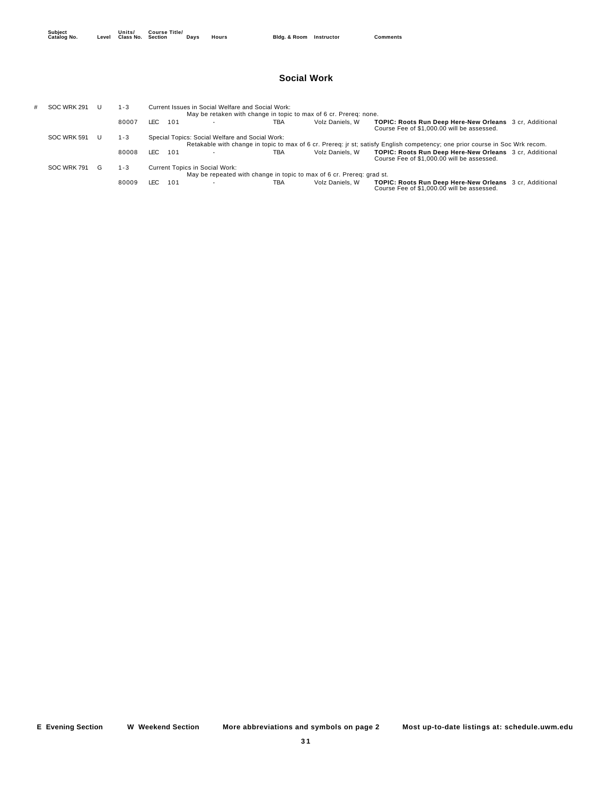#### **Social Work**

| # | SOC WRK 291 | 1 - 3   |               | Current Issues in Social Welfare and Social Work: |     | May be retaken with change in topic to max of 6 cr. Prereg: none.     |                                                                                                                              |
|---|-------------|---------|---------------|---------------------------------------------------|-----|-----------------------------------------------------------------------|------------------------------------------------------------------------------------------------------------------------------|
|   |             | 80007   | LEC.<br>101   |                                                   | TBA | Volz Daniels, W                                                       | <b>TOPIC: Roots Run Deep Here-New Orleans</b> 3 cr, Additional<br>Course Fee of \$1,000.00 will be assessed.                 |
|   | SOC WRK 591 | 1 - 3   |               | Special Topics: Social Welfare and Social Work:   |     |                                                                       | Retakable with change in topic to max of 6 cr. Prereg: ir st; satisfy English competency; one prior course in Soc Wrk recom. |
|   |             | 80008   | LEC.<br>- 101 |                                                   | TBA | Volz Daniels, W                                                       | <b>TOPIC: Roots Run Deep Here-New Orleans</b> 3 cr, Additional<br>Course Fee of \$1,000.00 will be assessed.                 |
|   | SOC WRK 791 | $1 - 3$ |               | <b>Current Topics in Social Work:</b>             |     | May be repeated with change in topic to max of 6 cr. Prereg: grad st. |                                                                                                                              |
|   |             | 80009   | 101<br>LEC.   |                                                   | TBA | Volz Daniels, W                                                       | <b>TOPIC: Roots Run Deep Here-New Orleans</b> 3 cr, Additional<br>Course Fee of \$1,000.00 will be assessed.                 |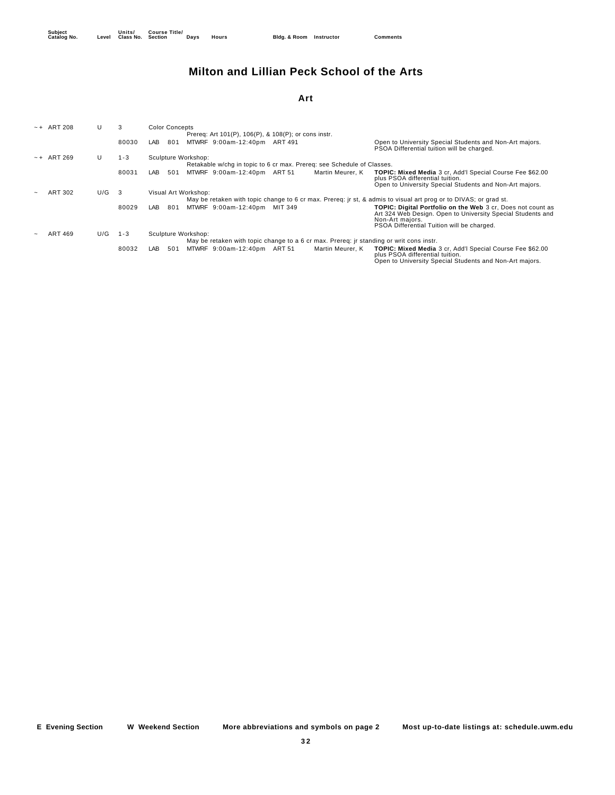## **Milton and Lillian Peck School of the Arts**

#### **Art**

| $-+$ ART 208   | U   | 3       |     | <b>Color Concepts</b> |                      |                                                                        |               |                  |                                                                                                                                                                                                    |
|----------------|-----|---------|-----|-----------------------|----------------------|------------------------------------------------------------------------|---------------|------------------|----------------------------------------------------------------------------------------------------------------------------------------------------------------------------------------------------|
|                |     |         |     |                       |                      | Prereq: Art 101(P), 106(P), & 108(P); or cons instr.                   |               |                  |                                                                                                                                                                                                    |
|                |     | 80030   | LAB | 801                   |                      | MTWRF 9:00am-12:40pm                                                   | ART 491       |                  | Open to University Special Students and Non-Art majors.<br>PSOA Differential tuition will be charged.                                                                                              |
| $-+$ ART 269   | U   | $1 - 3$ |     |                       | Sculpture Workshop:  |                                                                        |               |                  |                                                                                                                                                                                                    |
|                |     |         |     |                       |                      | Retakable w/chq in topic to 6 cr max. Prereq: see Schedule of Classes. |               |                  |                                                                                                                                                                                                    |
|                |     | 80031   | LAB | 501                   |                      | MTWRF 9:00am-12:40pm                                                   | <b>ART 51</b> | Martin Meurer, K | <b>TOPIC: Mixed Media 3 cr. Add'l Special Course Fee \$62.00</b><br>plus PSOA differential tuition.<br>Open to University Special Students and Non-Art majors.                                     |
| <b>ART 302</b> | U/G | 3       |     |                       | Visual Art Workshop: |                                                                        |               |                  |                                                                                                                                                                                                    |
|                |     |         |     |                       |                      |                                                                        |               |                  | May be retaken with topic change to 6 cr max. Prereq: jr st, & admis to visual art prog or to DIVAS; or grad st.                                                                                   |
|                |     | 80029   | LAB | 801                   |                      | MTWRF 9:00am-12:40pm                                                   | MIT 349       |                  | <b>TOPIC: Digital Portfolio on the Web 3 cr. Does not count as</b><br>Art 324 Web Design. Open to University Special Students and<br>Non-Art majors.<br>PSOA Differential Tuition will be charged. |
| <b>ART 469</b> | U/G | $1 - 3$ |     |                       | Sculpture Workshop:  |                                                                        |               |                  |                                                                                                                                                                                                    |
|                |     |         |     |                       |                      |                                                                        |               |                  | May be retaken with topic change to a 6 cr max. Prereq: jr standing or writ cons instr.                                                                                                            |
|                |     | 80032   | LAB | 501                   |                      | MTWRF 9:00am-12:40pm                                                   | <b>ART 51</b> | Martin Meurer, K | <b>TOPIC: Mixed Media 3 cr. Add'l Special Course Fee \$62.00</b><br>plus PSOA differential tuition.<br>Open to University Special Students and Non-Art majors.                                     |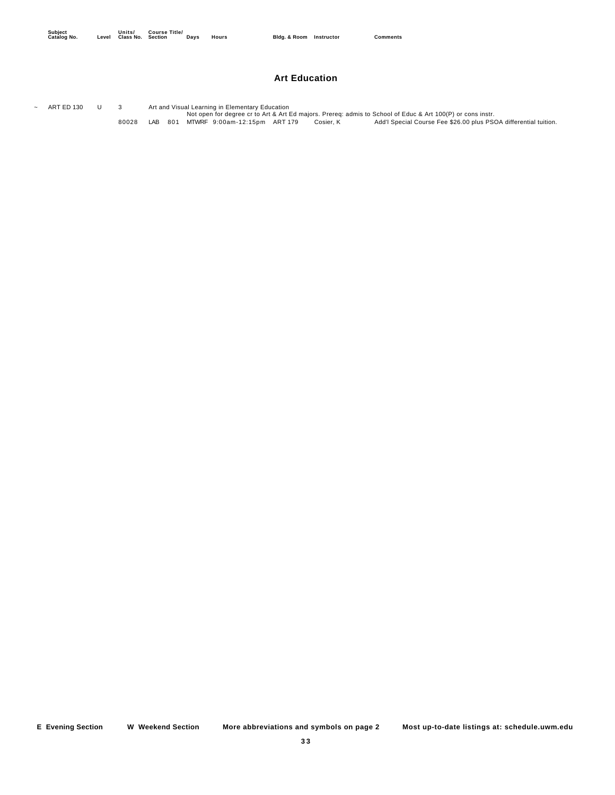#### **Art Education**

ART ED 130 U 3 Art and Visual Learning in Elementary Education<br>Not open for degree cr to Art & Art Ed majors. Prereq: admis to School of Educ & Art 100(P) or cons instr. 80028 LAB 801 MTWRF 9:00am-12:15pm ART 179 Cosier, K Add'l Special Course Fee \$26.00 plus PSOA differential tuition.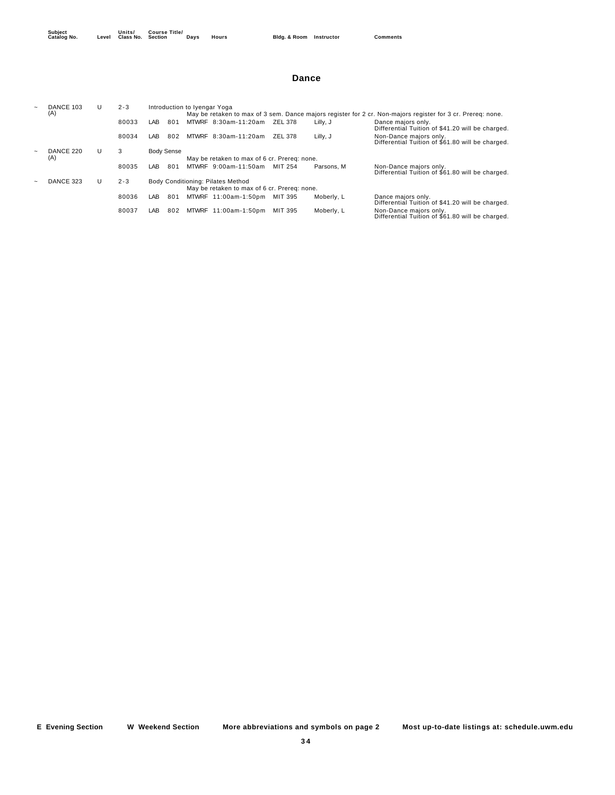#### **Dance**

| DANCE 103 |   | $2 - 3$ |                                              |                   | Introduction to Iyengar Yoga |                                              |         |            |                                                                                                             |  |  |
|-----------|---|---------|----------------------------------------------|-------------------|------------------------------|----------------------------------------------|---------|------------|-------------------------------------------------------------------------------------------------------------|--|--|
| (A)       |   |         |                                              |                   |                              |                                              |         |            | May be retaken to max of 3 sem. Dance majors register for 2 cr. Non-majors register for 3 cr. Prereg: none. |  |  |
|           |   | 80033   | $\overline{AB}$                              | 801               |                              | MTWRF 8:30am-11:20am                         | ZEL 378 | Lilly, J   | Dance majors only.<br>Differential Tuition of \$41.20 will be charged.                                      |  |  |
|           |   | 80034   | LAB                                          | 802               |                              | MTWRF 8:30am-11:20am                         | ZEL 378 | Lilly, J   | Non-Dance maiors only.<br>Differential Tuition of \$61.80 will be charged.                                  |  |  |
| DANCE 220 | U | 3       |                                              | <b>Body Sense</b> |                              |                                              |         |            |                                                                                                             |  |  |
| (A)       |   |         | May be retaken to max of 6 cr. Prereg: none. |                   |                              |                                              |         |            |                                                                                                             |  |  |
|           |   | 80035   | $\overline{AB}$                              | 801               |                              | MTWRF 9:00am-11:50am                         | MIT 254 | Parsons, M | Non-Dance majors only.<br>Differential Tuition of \$61.80 will be charged.                                  |  |  |
| DANCE 323 | U | $2 - 3$ |                                              |                   |                              | Body Conditioning: Pilates Method            |         |            |                                                                                                             |  |  |
|           |   |         |                                              |                   |                              | May be retaken to max of 6 cr. Prereg: none. |         |            |                                                                                                             |  |  |
|           |   | 80036   | LAB                                          | 801               |                              | MTWRF 11:00am-1:50pm                         | MIT 395 | Moberly, L | Dance majors only.<br>Differential Tuition of \$41.20 will be charged.                                      |  |  |
|           |   | 80037   | LAB                                          | 802               | <b>MTWRF</b>                 | 11:00am-1:50pm                               | MIT 395 | Moberly, L | Non-Dance majors only.<br>Differential Tuition of \$61.80 will be charged.                                  |  |  |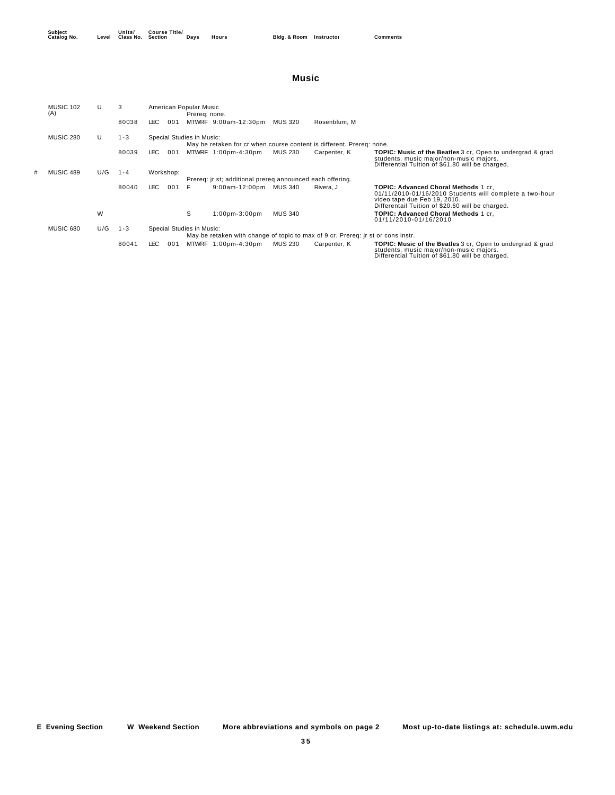**Units/ Class No. Course Title/**

#### **Music**

| <b>MUSIC 102</b><br>(A) | U   | 3       | American Popular Music                                    | Prereg: none. |                      |                |                                                                                  |                                                                                                                                                                                                |  |  |  |
|-------------------------|-----|---------|-----------------------------------------------------------|---------------|----------------------|----------------|----------------------------------------------------------------------------------|------------------------------------------------------------------------------------------------------------------------------------------------------------------------------------------------|--|--|--|
|                         |     | 80038   | LEC .<br>001                                              |               | MTWRF 9:00am-12:30pm | MUS 320        | Rosenblum, M                                                                     |                                                                                                                                                                                                |  |  |  |
| <b>MUSIC 280</b>        | U   | $1 - 3$ | Special Studies in Music:                                 |               |                      |                | May be retaken for cr when course content is different. Prereg: none.            |                                                                                                                                                                                                |  |  |  |
|                         |     | 80039   | LEC .<br>001                                              |               | MTWRF 1:00pm-4:30pm  | <b>MUS 230</b> | Carpenter, K                                                                     | <b>TOPIC: Music of the Beatles</b> 3 cr, Open to undergrad & grad<br>students, music major/non-music majors.<br>Differential Tuition of \$61.80 will be charged.                               |  |  |  |
| MUSIC 489               | U/G | $1 - 4$ | Workshop:                                                 |               |                      |                |                                                                                  |                                                                                                                                                                                                |  |  |  |
|                         |     |         | Prereg: ir st; additional prereg announced each offering. |               |                      |                |                                                                                  |                                                                                                                                                                                                |  |  |  |
|                         |     | 80040   | LEC .<br>001                                              | F.            | $9:00$ am-12:00pm    | MUS 340        | Rivera, J                                                                        | <b>TOPIC: Advanced Choral Methods 1 cr.</b><br>$01/11/2010 - 01/16/2010$ Students will complete a two-hour<br>video tape due Feb 19, 2010.<br>Differentail Tuition of \$20.60 will be charged. |  |  |  |
|                         | W   |         |                                                           | s             | $1:00$ pm- $3:00$ pm | <b>MUS 340</b> |                                                                                  | TOPIC: Advanced Choral Methods 1 cr.<br>01/11/2010-01/16/2010                                                                                                                                  |  |  |  |
| <b>MUSIC 680</b>        | U/G | $1 - 3$ | Special Studies in Music:                                 |               |                      |                |                                                                                  |                                                                                                                                                                                                |  |  |  |
|                         |     |         |                                                           |               |                      |                | May be retaken with change of topic to max of 9 cr. Prereg: ir st or cons instr. |                                                                                                                                                                                                |  |  |  |
|                         |     | 80041   | LEC .<br>001                                              |               | MTWRF 1:00pm-4:30pm  | <b>MUS 230</b> | Carpenter, K                                                                     | <b>TOPIC: Music of the Beatles</b> 3 cr, Open to undergrad & grad<br>students, music major/non-music majors.<br>Differential Tuition of \$61.80 will be charged.                               |  |  |  |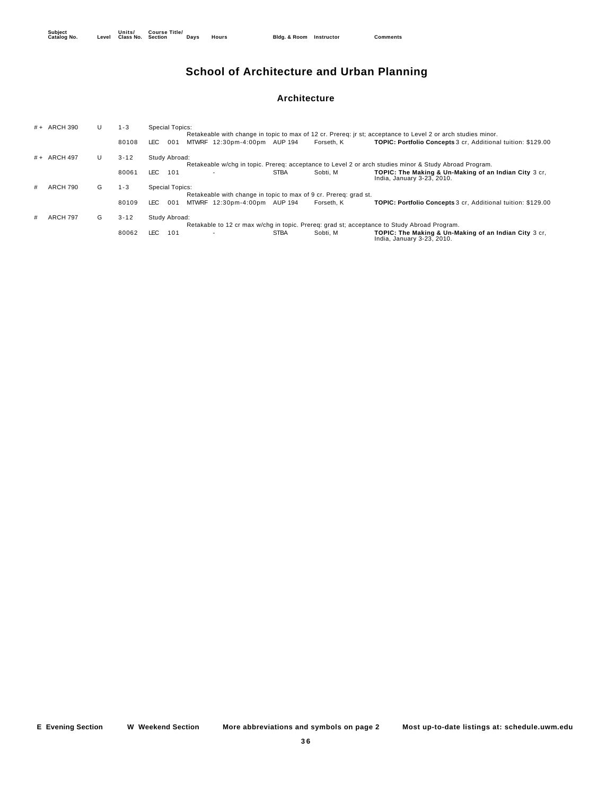## **School of Architecture and Urban Planning**

#### **Architecture**

|   | # + ARCH 390    | U | $1 - 3$  | <b>Special Topics:</b>                                                                                                                                    |
|---|-----------------|---|----------|-----------------------------------------------------------------------------------------------------------------------------------------------------------|
|   |                 |   |          | Retakeable with change in topic to max of 12 cr. Prereq: jr st; acceptance to Level 2 or arch studies minor.                                              |
|   |                 |   | 80108    | TOPIC: Portfolio Concepts 3 cr. Additional tuition: \$129.00<br>MTWRF 12:30pm-4:00pm AUP 194<br>001<br>LEC .<br>Forseth, K                                |
|   | # + ARCH 497    | U | $3 - 12$ | Study Abroad:                                                                                                                                             |
|   |                 |   |          | Retakeable w/chq in topic. Prereq: acceptance to Level 2 or arch studies minor & Study Abroad Program.                                                    |
|   |                 |   | 80061    | <b>STBA</b><br>LEC.<br>101<br>Sobti. M<br><b>TOPIC: The Making &amp; Un-Making of an Indian City 3 cr.</b><br>$\sim$<br>India, January 3-23, 2010.        |
| # | <b>ARCH 790</b> | G | $1 - 3$  | <b>Special Topics:</b>                                                                                                                                    |
|   |                 |   |          | Retakeable with change in topic to max of 9 cr. Prereg: grad st.                                                                                          |
|   |                 |   | 80109    | 001<br>MTWRF 12:30pm-4:00pm AUP 194<br><b>TOPIC: Portfolio Concepts</b> 3 cr. Additional tuition: \$129.00<br>LEC.<br>Forseth, K                          |
|   | <b>ARCH 797</b> | G | $3 - 12$ | Study Abroad:                                                                                                                                             |
|   |                 |   |          | Retakable to 12 cr max w/chq in topic. Prereq: grad st; acceptance to Study Abroad Program.                                                               |
|   |                 |   | 80062    | LEC.<br><b>STBA</b><br>101<br>Sobti. M<br>TOPIC: The Making & Un-Making of an Indian City 3 cr.<br>$\overline{\phantom{a}}$<br>India, January 3-23, 2010. |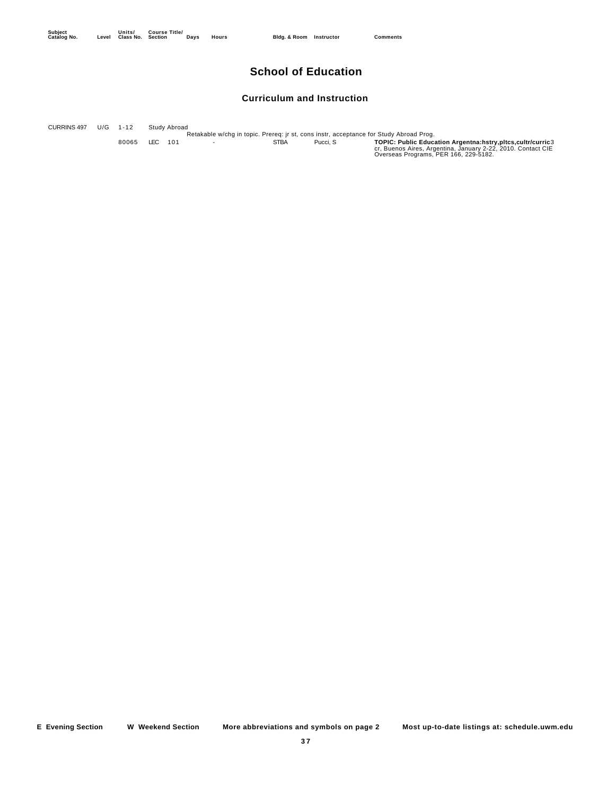## **School of Education**

#### **Curriculum and Instruction**

Retakable w/chg in topic. Prereq: jr st, cons instr, acceptance for Study Abroad Prog.<br>80065 LEC 101 STBA Pucci, S **TOPIC: Public Education Argentna:hstry,pltcs,cultr/curric3**<br>Cr, Buenos Aires, Argentina, January 2-22, 201 CURRINS 497 U/G 1-12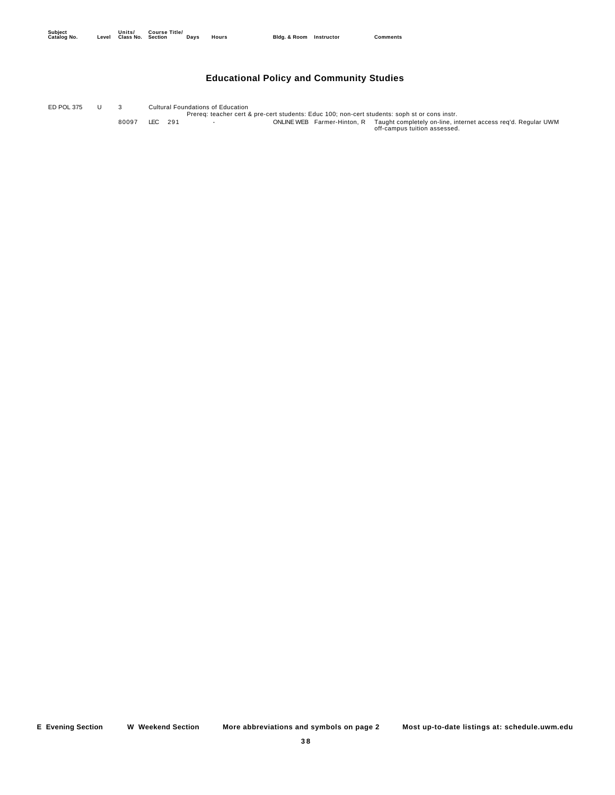## **Educational Policy and Community Studies**

Prereq: teacher cert & pre-cert students: Educ 100; non-cert students: soph st or cons instr. ED POL 375 U 3 Cultural Foundations of Education 80097 LEC 291 - ONLINE WEB Farmer-Hinton, R Taught completely on-line, internet access req'd. Regular UWM<br>off-campus tuition assessed.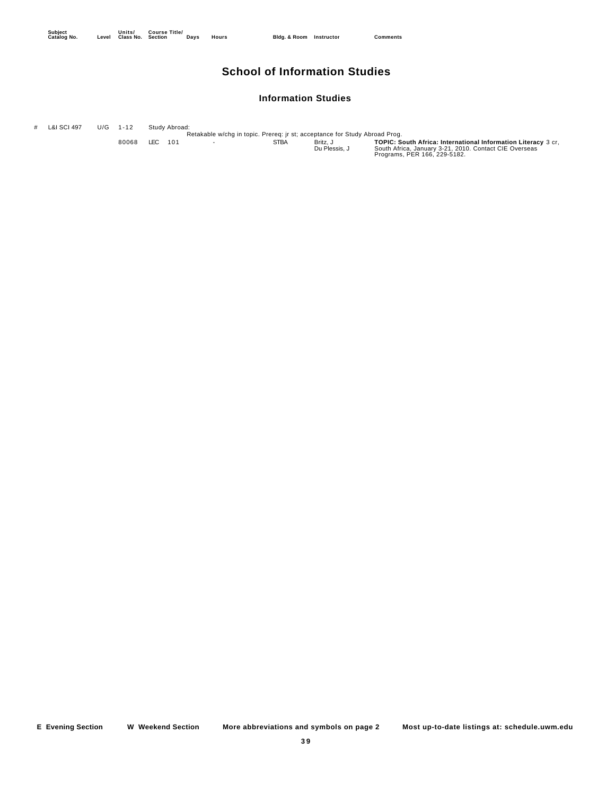## **School of Information Studies**

#### **Information Studies**

# L&I SCI 497 U/G 1-12 Study Abroad:<br>Retakable w/chg in topic. Prereq: jr st; acceptance for Study Abroad Prog.

80068 LEC 101 - STBA Britz, J **TOPIC: South Africa: International Information Literacy** 3 cr,<br>Du Plessis, J South Africa, January 3-21, 2010. Contact CIE Overseas<br>Programs, PER 166, 229-5182.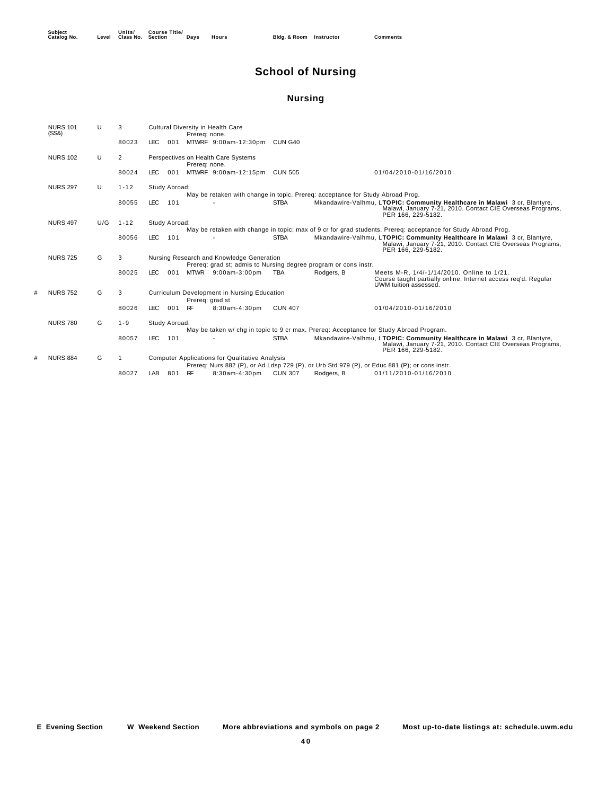## **School of Nursing**

## **Nursing**

| <b>NURS 101</b><br>(SS8) | U   | 3        |            |               | Prereg: none.   | Cultural Diversity in Health Care                                                                            |                |            |                                                                                                                                                               |
|--------------------------|-----|----------|------------|---------------|-----------------|--------------------------------------------------------------------------------------------------------------|----------------|------------|---------------------------------------------------------------------------------------------------------------------------------------------------------------|
|                          |     | 80023    | <b>LEC</b> | 001           |                 | MTWRF 9:00am-12:30pm                                                                                         | CUN G40        |            |                                                                                                                                                               |
| <b>NURS 102</b>          | U   | 2        |            |               | Prereg: none.   | Perspectives on Health Care Systems                                                                          |                |            |                                                                                                                                                               |
|                          |     | 80024    | LEC.       | 001           |                 | MTWRF 9:00am-12:15pm CUN 505                                                                                 |                |            | 01/04/2010-01/16/2010                                                                                                                                         |
| <b>NURS 297</b>          | U   | $1 - 12$ |            | Study Abroad: |                 | May be retaken with change in topic. Prereq: acceptance for Study Abroad Prog.                               |                |            |                                                                                                                                                               |
|                          |     | 80055    | <b>LEC</b> | 101           |                 |                                                                                                              | <b>STBA</b>    |            | Mkandawire-Valhmu, LTOPIC: Community Healthcare in Malawi 3 cr, Blantyre,<br>Malawi, January 7-21, 2010. Contact CIE Overseas Programs,<br>PER 166, 229-5182. |
| <b>NURS 497</b>          | U/G | $1 - 12$ |            | Study Abroad: |                 |                                                                                                              |                |            | May be retaken with change in topic; max of 9 cr for grad students. Prereq: acceptance for Study Abroad Prog.                                                 |
|                          |     | 80056    | <b>LEC</b> | 101           |                 |                                                                                                              | <b>STBA</b>    |            | Mkandawire-Valhmu, LTOPIC: Community Healthcare in Malawi 3 cr, Blantyre,<br>Malawi, January 7-21, 2010. Contact CIE Overseas Programs,<br>PER 166, 229-5182. |
| <b>NURS 725</b>          | G   | 3        |            |               |                 | Nursing Research and Knowledge Generation<br>Prereq: grad st; admis to Nursing degree program or cons instr. |                |            |                                                                                                                                                               |
|                          |     | 80025    | <b>LEC</b> | 001           |                 | MTWR 9:00am-3:00pm                                                                                           | <b>TBA</b>     | Rodgers, B | Meets M-R. 1/4/-1/14/2010. Online to 1/21.<br>Course taught partially online. Internet access req'd. Regular<br>UWM tuition assessed.                         |
| <b>NURS 752</b>          | G   | 3        |            |               | Prereq: grad st | Curriculum Development in Nursing Education                                                                  |                |            |                                                                                                                                                               |
|                          |     | 80026    | <b>LEC</b> | 001           | RF              | $8:30am-4:30pm$                                                                                              | <b>CUN 407</b> |            | 01/04/2010-01/16/2010                                                                                                                                         |
| <b>NURS 780</b>          | G   | $1 - 9$  |            | Study Abroad: |                 |                                                                                                              |                |            | May be taken w/chg in topic to 9 cr max. Prereg: Acceptance for Study Abroad Program.                                                                         |
|                          |     | 80057    | <b>LEC</b> | 101           |                 |                                                                                                              | <b>STBA</b>    |            | Mkandawire-Valhmu, LTOPIC: Community Healthcare in Malawi 3 cr, Blantyre,<br>Malawi, January 7-21, 2010. Contact CIE Overseas Programs,<br>PER 166, 229-5182. |
| <b>NURS 884</b>          | G   |          |            |               |                 | <b>Computer Applications for Qualitative Analysis</b>                                                        |                |            | Prereg: Nurs 882 (P), or Ad Ldsp 729 (P), or Urb Std 979 (P), or Educ 881 (P); or cons instr.                                                                 |
|                          |     | 80027    | LAB        | 801           | RF              | $8:30$ am-4:30pm                                                                                             | <b>CUN 307</b> | Rodgers, B | 01/11/2010-01/16/2010                                                                                                                                         |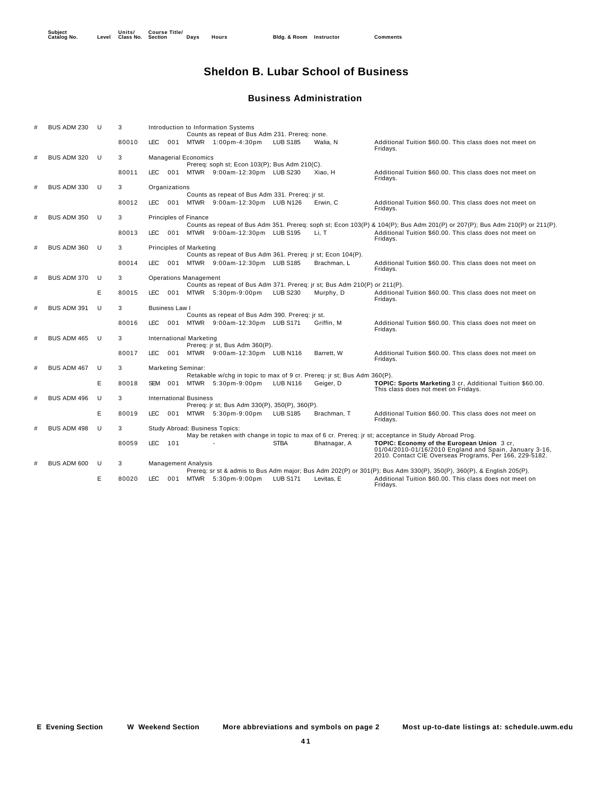## **Sheldon B. Lubar School of Business**

#### **Business Administration**

|   | BUS ADM 230        | <b>U</b> | 3     |            |                       |                                | Introduction to Information Systems<br>Counts as repeat of Bus Adm 231. Prereg: none. |                 |              |                                                                                                                                                                 |
|---|--------------------|----------|-------|------------|-----------------------|--------------------------------|---------------------------------------------------------------------------------------|-----------------|--------------|-----------------------------------------------------------------------------------------------------------------------------------------------------------------|
|   |                    |          | 80010 | LEC.       | 001                   |                                | MTWR 1:00pm-4:30pm                                                                    | <b>LUB S185</b> | Walia, N     | Additional Tuition \$60.00. This class does not meet on<br>Fridays.                                                                                             |
| # | BUS ADM 320        | U        | 3     |            |                       | <b>Managerial Economics</b>    |                                                                                       |                 |              |                                                                                                                                                                 |
|   |                    |          |       |            |                       |                                | Prereq: soph st; Econ 103(P); Bus Adm 210(C).                                         |                 |              |                                                                                                                                                                 |
|   |                    |          | 80011 | LEC.       |                       |                                | 001 MTWR 9:00am-12:30pm                                                               | <b>LUB S230</b> | Xiao, H      | Additional Tuition \$60.00. This class does not meet on<br>Fridays.                                                                                             |
| # | BUS ADM 330        | -U       | 3     |            | Organizations         |                                |                                                                                       |                 |              |                                                                                                                                                                 |
|   |                    |          |       |            |                       |                                | Counts as repeat of Bus Adm 331. Prereq: jr st.                                       |                 |              |                                                                                                                                                                 |
|   |                    |          | 80012 | LEC.       | 001                   |                                | MTWR 9:00am-12:30pm LUB N126                                                          |                 | Erwin, C     | Additional Tuition \$60.00. This class does not meet on<br>Fridays.                                                                                             |
| # | BUS ADM 350        | -U       | 3     |            |                       | <b>Principles of Finance</b>   |                                                                                       |                 |              |                                                                                                                                                                 |
|   |                    |          |       |            |                       |                                |                                                                                       |                 |              | Counts as repeat of Bus Adm 351. Prereq: soph st; Econ 103(P) & 104(P); Bus Adm 201(P) or 207(P); Bus Adm 210(P) or 211(P).                                     |
|   |                    |          | 80013 | LEC.       | 001                   |                                | MTWR 9:00am-12:30pm LUB S195                                                          |                 | Li, T        | Additional Tuition \$60.00. This class does not meet on<br>Fridays.                                                                                             |
| # | BUS ADM 360        | U        | 3     |            |                       | <b>Principles of Marketing</b> |                                                                                       |                 |              |                                                                                                                                                                 |
|   |                    |          |       |            |                       |                                | Counts as repeat of Bus Adm 361. Prereq: jr st; Econ 104(P).                          |                 |              |                                                                                                                                                                 |
|   |                    |          | 80014 | LEC.       | 001                   |                                | MTWR 9:00am-12:30pm LUB S185                                                          |                 | Brachman, L  | Additional Tuition \$60.00. This class does not meet on<br>Fridays.                                                                                             |
| # | BUS ADM 370        | U        | 3     |            |                       | <b>Operations Management</b>   |                                                                                       |                 |              |                                                                                                                                                                 |
|   |                    |          |       |            |                       |                                | Counts as repeat of Bus Adm 371. Prereq: jr st; Bus Adm 210(P) or 211(P).             |                 |              |                                                                                                                                                                 |
|   |                    | E        | 80015 | LEC.       | 001                   |                                | MTWR 5:30pm-9:00pm                                                                    | <b>LUB S230</b> | Murphy, D    | Additional Tuition \$60.00. This class does not meet on<br>Fridays.                                                                                             |
|   | BUS ADM 391        | U        | 3     |            | <b>Business Law I</b> |                                |                                                                                       |                 |              |                                                                                                                                                                 |
|   |                    |          |       |            |                       |                                | Counts as repeat of Bus Adm 390. Prereg: jr st.                                       |                 |              |                                                                                                                                                                 |
|   |                    |          | 80016 | LEC.       | 001                   |                                | MTWR 9:00am-12:30pm LUB S171                                                          |                 | Griffin, M   | Additional Tuition \$60.00. This class does not meet on<br>Fridays.                                                                                             |
| # | BUS ADM 465        | U        | 3     |            |                       | International Marketing        |                                                                                       |                 |              |                                                                                                                                                                 |
|   |                    |          |       |            |                       |                                | Prereq: jr st, Bus Adm 360(P).                                                        |                 |              |                                                                                                                                                                 |
|   |                    |          | 80017 | <b>LEC</b> | 001                   |                                | MTWR 9:00am-12:30pm LUB N116                                                          |                 | Barrett, W   | Additional Tuition \$60.00. This class does not meet on<br>Fridays.                                                                                             |
| # | BUS ADM 467        | U        | 3     |            |                       | <b>Marketing Seminar:</b>      |                                                                                       |                 |              |                                                                                                                                                                 |
|   |                    |          |       |            |                       |                                | Retakable w/chg in topic to max of 9 cr. Prereq: jr st; Bus Adm 360(P).               |                 |              |                                                                                                                                                                 |
|   |                    | E        | 80018 |            | SEM 001               |                                | MTWR 5:30pm-9:00pm                                                                    | <b>LUB N116</b> | Geiger, D    | TOPIC: Sports Marketing 3 cr. Additional Tuition \$60.00.<br>This class does not meet on Fridays.                                                               |
| # | BUS ADM 496        | U        | 3     |            |                       | <b>International Business</b>  |                                                                                       |                 |              |                                                                                                                                                                 |
|   |                    |          |       |            |                       |                                | Prereq: jr st; Bus Adm 330(P), 350(P), 360(P).                                        |                 |              |                                                                                                                                                                 |
|   |                    | E        | 80019 | <b>LEC</b> | 001                   |                                | MTWR 5:30pm-9:00pm                                                                    | <b>LUB S185</b> | Brachman, T  | Additional Tuition \$60.00. This class does not meet on<br>Fridays.                                                                                             |
| # | <b>BUS ADM 498</b> | U        | 3     |            |                       |                                | Study Abroad: Business Topics:                                                        |                 |              |                                                                                                                                                                 |
|   |                    |          |       |            |                       |                                |                                                                                       |                 |              | May be retaken with change in topic to max of 6 cr. Prereg: jr st; acceptance in Study Abroad Prog.                                                             |
|   |                    |          | 80059 | <b>LEC</b> | 101                   |                                |                                                                                       | <b>STBA</b>     | Bhatnagar, A | TOPIC: Economy of the European Union 3 cr,<br>01/04/2010-01/16/2010 England and Spain, January 3-16,<br>2010. Contact CIE Overseas Programs, Per 166, 229-5182. |
| # | BUS ADM 600        | U        | 3     |            |                       | <b>Management Analysis</b>     |                                                                                       |                 |              |                                                                                                                                                                 |
|   |                    |          |       |            |                       |                                |                                                                                       |                 |              | Prereq: sr st & admis to Bus Adm major; Bus Adm 202(P) or 301(P); Bus Adm 330(P), 350(P), 360(P), & English 205(P).                                             |
|   |                    | E        | 80020 | <b>LEC</b> |                       |                                | 001 MTWR 5:30pm-9:00pm                                                                | <b>LUB S171</b> | Levitas, E   | Additional Tuition \$60.00. This class does not meet on<br>Fridays.                                                                                             |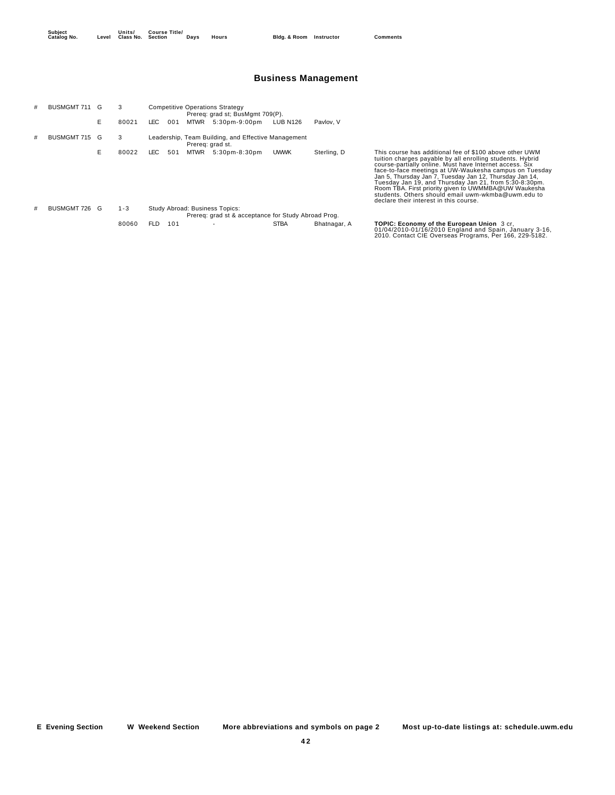**Units/ Class No. Course Title/**

**Section Days Hours Bldg. & Room Instructor Comments**

## **Business Management**

| # | <b>BUSMGMT 711</b> |    | 3       |            |     |             | <b>Competitive Operations Strategy</b><br>Prereq: grad st; BusMgmt 709(P).            |                 |              |                                                                                                                                                                                                                                                                                                                                                                                                                                                                                                                        |
|---|--------------------|----|---------|------------|-----|-------------|---------------------------------------------------------------------------------------|-----------------|--------------|------------------------------------------------------------------------------------------------------------------------------------------------------------------------------------------------------------------------------------------------------------------------------------------------------------------------------------------------------------------------------------------------------------------------------------------------------------------------------------------------------------------------|
|   |                    | E. | 80021   | LEC.       | 001 | <b>MTWR</b> | $5:30pm-9:00pm$                                                                       | <b>LUB N126</b> | Paylov, V    |                                                                                                                                                                                                                                                                                                                                                                                                                                                                                                                        |
|   | <b>BUSMGMT 715</b> | G  | 3       |            |     |             | Leadership, Team Building, and Effective Management<br>Prereg: grad st.               |                 |              |                                                                                                                                                                                                                                                                                                                                                                                                                                                                                                                        |
|   |                    | Е. | 80022   | LEC.       | 501 | <b>MTWR</b> | $5:30pm-8:30pm$                                                                       | <b>UWWK</b>     | Sterling, D  | This course has additional fee of \$100 above other UWM<br>tuition charges payable by all enrolling students. Hybrid<br>course-partially online. Must have Internet access. Six<br>face-to-face meetings at UW-Waukesha campus on Tuesday<br>Jan 5, Thursday Jan 7, Tuesday Jan 12, Thursday Jan 14,<br>Tuesday Jan 19, and Thursday Jan 21, from 5:30-8:30pm.<br>Room TBA. First priority given to UWMMBA@UW Waukesha<br>students. Others should email uwm-wkmba@uwm.edu to<br>declare their interest in this course. |
| # | <b>BUSMGMT 726</b> | G  | $1 - 3$ |            |     |             | Study Abroad: Business Topics:<br>Prereg: grad st & acceptance for Study Abroad Prog. |                 |              |                                                                                                                                                                                                                                                                                                                                                                                                                                                                                                                        |
|   |                    |    | 80060   | <b>FLD</b> | 101 |             |                                                                                       | <b>STBA</b>     | Bhatnagar, A | TOPIC: Economy of the European Union 3 cr.                                                                                                                                                                                                                                                                                                                                                                                                                                                                             |
|   |                    |    |         |            |     |             |                                                                                       |                 |              | 01/04/2010-01/16/2010 England and Spain, January 3-16,<br>2010. Contact CIE Overseas Programs, Per 166, 229-5182.                                                                                                                                                                                                                                                                                                                                                                                                      |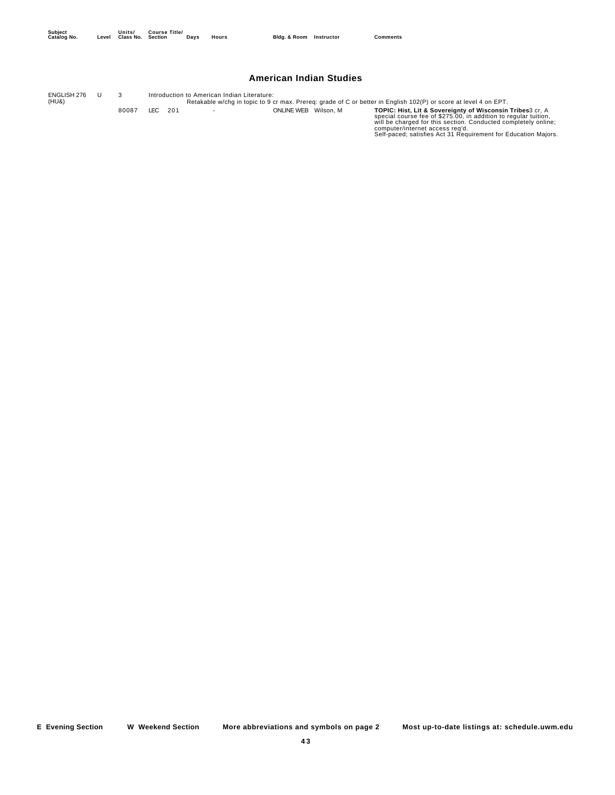#### **American Indian Studies**

Retakable w/chg in topic to 9 cr max. Prereq: grade of C or better in English 102(P) or score at level 4 on EPT.<br>ONLINE WEB Wilson, M<br>ONLINE WEB Wilson, M TOPIC: Hist, Lit & Sovereignty of Wisconsin Tribes3 cr, A<br>Decial co ENGLISH 276 (HU&) U 3 Introduction to American Indian Literature: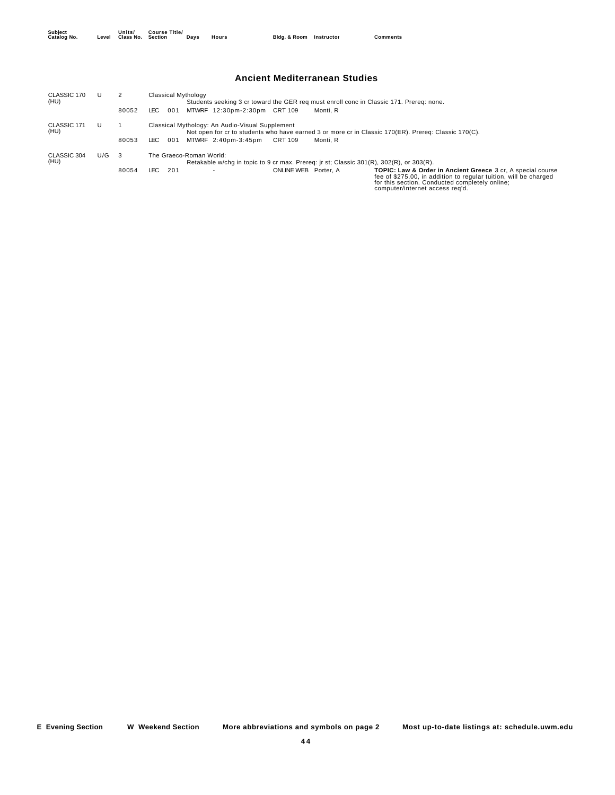#### **Ancient Mediterranean Studies**

| CLASSIC 170<br>(HU) |     |       | Classical Mythology<br>Students seeking 3 cr toward the GER reg must enroll conc in Classic 171. Prereg: none.                                                                                                                                                                                     |
|---------------------|-----|-------|----------------------------------------------------------------------------------------------------------------------------------------------------------------------------------------------------------------------------------------------------------------------------------------------------|
|                     |     | 80052 | MTWRF 12:30pm-2:30pm CRT 109<br>LEC.<br>001<br>Monti, R                                                                                                                                                                                                                                            |
| CLASSIC 171<br>(HU) |     |       | Classical Mythology: An Audio-Visual Supplement<br>Not open for cr to students who have earned 3 or more cr in Classic 170(ER). Prereg: Classic 170(C).                                                                                                                                            |
|                     |     | 80053 | MTWRF 2:40pm-3:45pm<br>LEC.<br>001<br>CRT 109<br>Monti. R                                                                                                                                                                                                                                          |
| CLASSIC 304<br>(HU) | U/G | - 3   | The Graeco-Roman World:<br>Retakable w/chq in topic to 9 cr max. Prereq: jr st; Classic 301(R), 302(R), or 303(R).                                                                                                                                                                                 |
|                     |     | 80054 | LEC.<br>201<br>ONLINE WEB Porter, A<br><b>TOPIC: Law &amp; Order in Ancient Greece 3 cr. A special course</b><br>$\overline{\phantom{a}}$<br>fee of \$275.00, in addition to regular tuition, will be charged<br>for this section. Conducted completely online;<br>computer/internet access reg'd. |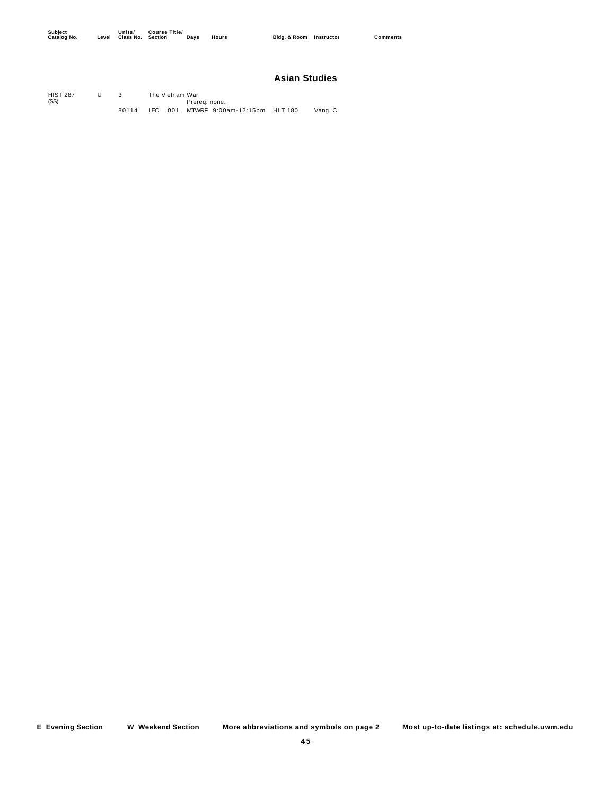## **Asian Studies**

| <b>HIST 287</b><br>(SS) |       | The Vietnam War | Prereg: none. |                                      |         |
|-------------------------|-------|-----------------|---------------|--------------------------------------|---------|
|                         | 80114 |                 |               | LEC 001 MTWRF 9:00am-12:15pm HLT 180 | Vang, C |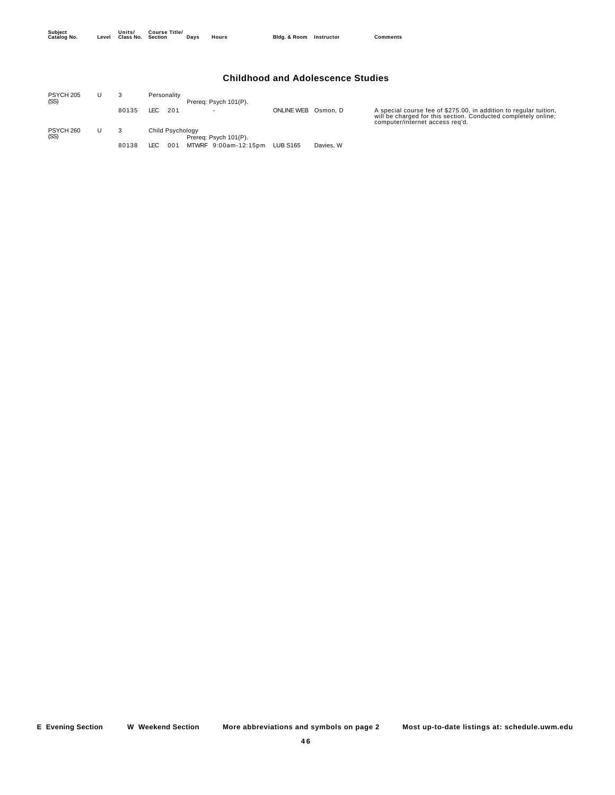## **Childhood and Adolescence Studies**

| PSYCH 205<br>(SS) |       | Personality<br>Prereq: Psych 101(P).      |                   |           |                                                                                                                                                                        |
|-------------------|-------|-------------------------------------------|-------------------|-----------|------------------------------------------------------------------------------------------------------------------------------------------------------------------------|
|                   | 80135 | LEC<br>-201                               | <b>ONLINE WEB</b> | Osmon. D  | A special course fee of \$275.00, in addition to regular tuition,<br>will be charged for this section. Conducted completely online;<br>computer/internet access reg'd. |
| PSYCH 260<br>(SS) |       | Child Psychology<br>Prereg: Psych 101(P). |                   |           |                                                                                                                                                                        |
|                   | 80138 | MTWRF 9:00am-12:15pm<br>LEC<br>001        | <b>LUB S165</b>   | Davies, W |                                                                                                                                                                        |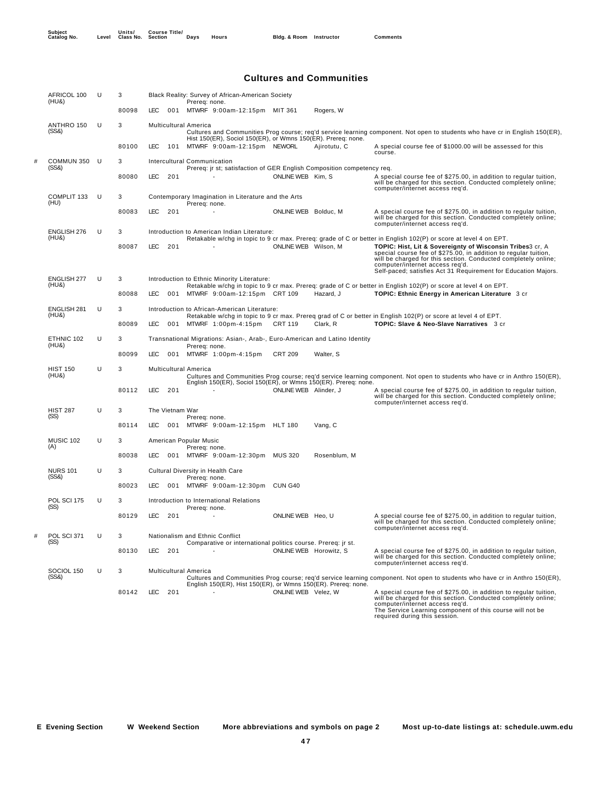## **Cultures and Communities**

|   | AFRICOL 100<br>(HU&)        | U | 3     |                              | Black Reality: Survey of African-American Society<br>Prereq: none.                          |                        |              |                                                                                                                                                                                                                                                                                                                                                                                                                         |
|---|-----------------------------|---|-------|------------------------------|---------------------------------------------------------------------------------------------|------------------------|--------------|-------------------------------------------------------------------------------------------------------------------------------------------------------------------------------------------------------------------------------------------------------------------------------------------------------------------------------------------------------------------------------------------------------------------------|
|   |                             |   | 80098 | LEC.                         | 001 MTWRF 9:00am-12:15pm MIT 361                                                            |                        | Rogers, W    |                                                                                                                                                                                                                                                                                                                                                                                                                         |
|   | ANTHRO 150<br>(SS8)         | U | 3     | <b>Multicultural America</b> | Hist 150(ER), Sociol 150(ER), or Wmns 150(ER). Prereq: none.                                |                        |              | Cultures and Communities Prog course; req'd service learning component. Not open to students who have cr in English 150(ER),                                                                                                                                                                                                                                                                                            |
|   |                             |   | 80100 | <b>LEC</b><br>101            | MTWRF 9:00am-12:15pm NEWORL                                                                 |                        | Ajirotutu, C | A special course fee of \$1000.00 will be assessed for this<br>course.                                                                                                                                                                                                                                                                                                                                                  |
| # | COMMUN 350<br>(SS8)         | U | 3     |                              | Intercultural Communication                                                                 |                        |              |                                                                                                                                                                                                                                                                                                                                                                                                                         |
|   |                             |   | 80080 | <b>LEC</b><br>201            | Prereq: jr st; satisfaction of GER English Composition competency req.                      | ONLINE WEB Kim, S      |              | A special course fee of \$275.00, in addition to regular tuition,<br>will be charged for this section. Conducted completely online;<br>computer/internet access req'd.                                                                                                                                                                                                                                                  |
|   | COMPLIT 133<br>(HU)         | U | 3     |                              | Contemporary Imagination in Literature and the Arts<br>Prereq: none.                        |                        |              |                                                                                                                                                                                                                                                                                                                                                                                                                         |
|   |                             |   | 80083 | <b>LEC</b><br>201            |                                                                                             | ONLINE WEB Bolduc, M   |              | A special course fee of \$275.00, in addition to regular tuition,<br>will be charged for this section. Conducted completely online;<br>computer/internet access req'd.                                                                                                                                                                                                                                                  |
|   | ENGLISH 276<br>(HU&)        | U | 3     |                              | Introduction to American Indian Literature:                                                 |                        |              |                                                                                                                                                                                                                                                                                                                                                                                                                         |
|   |                             |   | 80087 | <b>LEC</b><br>201            |                                                                                             | ONLINE WEB Wilson, M   |              | Retakable w/chg in topic to 9 cr max. Prereq: grade of C or better in English 102(P) or score at level 4 on EPT.<br>TOPIC: Hist, Lit & Sovereignty of Wisconsin Tribes3 cr, A<br>special course fee of \$275.00, in addition to regular tuition,<br>will be charged for this section. Conducted completely online;<br>computer/internet access req'd.<br>Self-paced; satisfies Act 31 Requirement for Education Majors. |
|   | <b>ENGLISH 277</b><br>(HU&) | U | 3     |                              | Introduction to Ethnic Minority Literature:                                                 |                        |              | Retakable w/chg in topic to 9 cr max. Prereq: grade of C or better in English 102(P) or score at level 4 on EPT.                                                                                                                                                                                                                                                                                                        |
|   |                             |   | 80088 | <b>LEC</b><br>001            | MTWRF 9:00am-12:15pm CRT 109                                                                |                        | Hazard, J    | TOPIC: Ethnic Energy in American Literature 3 cr                                                                                                                                                                                                                                                                                                                                                                        |
|   | ENGLISH 281<br>(HU&)        | U | 3     |                              | Introduction to African-American Literature:                                                |                        |              |                                                                                                                                                                                                                                                                                                                                                                                                                         |
|   |                             |   | 80089 | LEC.<br>001                  | MTWRF 1:00pm-4:15pm                                                                         | <b>CRT 119</b>         | Clark, R     | Retakable w/chg in topic to 9 cr max. Prereq grad of C or better in English 102(P) or score at level 4 of EPT.<br>TOPIC: Slave & Neo-Slave Narratives 3 cr                                                                                                                                                                                                                                                              |
|   | ETHNIC 102<br>(HU&)         | U | 3     |                              | Transnational Migrations: Asian-, Arab-, Euro-American and Latino Identity<br>Prereq: none. |                        |              |                                                                                                                                                                                                                                                                                                                                                                                                                         |
|   |                             |   | 80099 | LEC.<br>001                  | MTWRF 1:00pm-4:15pm                                                                         | <b>CRT 209</b>         | Walter, S    |                                                                                                                                                                                                                                                                                                                                                                                                                         |
|   | <b>HIST 150</b><br>(HU&)    | U | 3     | <b>Multicultural America</b> | English 150(ER), Sociol 150(ER), or Wmns 150(ER). Prereq: none.                             |                        |              | Cultures and Communities Prog course; req'd service learning component. Not open to students who have cr in Anthro 150(ER),                                                                                                                                                                                                                                                                                             |
|   |                             |   | 80112 | LEC<br>201                   |                                                                                             | ONLINE WEB Alinder, J  |              | A special course fee of \$275.00, in addition to regular tuition,<br>will be charged for this section. Conducted completely online;<br>computer/internet access req'd.                                                                                                                                                                                                                                                  |
|   | <b>HIST 287</b>             | U | 3     | The Vietnam War              |                                                                                             |                        |              |                                                                                                                                                                                                                                                                                                                                                                                                                         |
|   | (SS)                        |   | 80114 | <b>LEC</b><br>001            | Prereq: none.<br>MTWRF 9:00am-12:15pm HLT 180                                               |                        | Vang, C      |                                                                                                                                                                                                                                                                                                                                                                                                                         |
|   | MUSIC 102                   | U | 3     | American Popular Music       |                                                                                             |                        |              |                                                                                                                                                                                                                                                                                                                                                                                                                         |
|   | (A)                         |   | 80038 | LEC.<br>001                  | Prereq: none.<br>MTWRF 9:00am-12:30pm                                                       | MUS 320                | Rosenblum, M |                                                                                                                                                                                                                                                                                                                                                                                                                         |
|   | <b>NURS 101</b>             | U | 3     |                              | Cultural Diversity in Health Care                                                           |                        |              |                                                                                                                                                                                                                                                                                                                                                                                                                         |
|   | (SS8)                       |   | 80023 | LEC.<br>001                  | Prereq: none.<br>MTWRF 9:00am-12:30pm                                                       | CUN G40                |              |                                                                                                                                                                                                                                                                                                                                                                                                                         |
|   | POL SCI 175                 | U | 3     |                              | Introduction to International Relations                                                     |                        |              |                                                                                                                                                                                                                                                                                                                                                                                                                         |
|   | (SS)                        |   | 80129 | <b>LEC</b><br>201            | Prereq: none.                                                                               | ONLINE WEB Heo, U      |              | A special course fee of \$275.00, in addition to regular tuition,<br>will be charged for this section. Conducted completely online;                                                                                                                                                                                                                                                                                     |
| # | POL SCI 371                 | U | 3     |                              | Nationalism and Ethnic Conflict                                                             |                        |              | computer/internet access req'd.                                                                                                                                                                                                                                                                                                                                                                                         |
|   | (SS)                        |   |       |                              | Comparative or international politics course. Prereq: jr st.                                |                        |              |                                                                                                                                                                                                                                                                                                                                                                                                                         |
|   |                             |   | 80130 | <b>LEC</b><br>201            |                                                                                             | ONLINE WEB Horowitz, S |              | A special course fee of \$275.00, in addition to regular tuition,<br>will be charged for this section. Conducted completely online;<br>computer/internet access req'd.                                                                                                                                                                                                                                                  |
|   | SOCIOL 150<br>(SS8)         | U | 3     | <b>Multicultural America</b> |                                                                                             |                        |              | Cultures and Communities Prog course; regid service learning component. Not open to students who have cr in Anthro 150(ER),                                                                                                                                                                                                                                                                                             |
|   |                             |   | 80142 | <b>LEC</b><br>201            | English 150(ER), Hist 150(ER), or Wmns 150(ER). Prereq: none.                               |                        |              |                                                                                                                                                                                                                                                                                                                                                                                                                         |
|   |                             |   |       |                              |                                                                                             | ONLINE WEB Velez, W    |              | A special course fee of \$275.00, in addition to regular tuition,<br>will be charged for this section. Conducted completely online;<br>computer/internet access req'd.<br>The Service Learning component of this course will not be<br>required during this session.                                                                                                                                                    |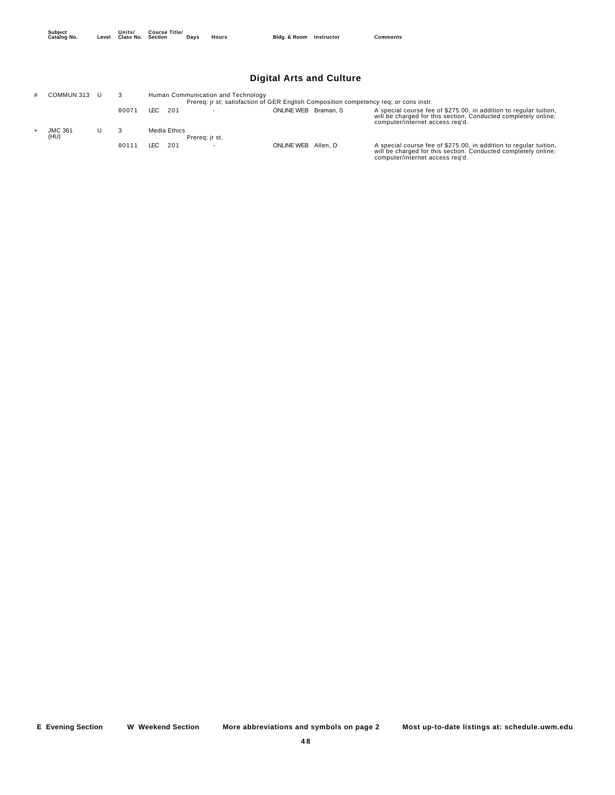|--|

## **Digital Arts and Culture**

| COMMUN 313 U           |       |              | Human Communication and Technology<br>Prereg: jr st; satisfaction of GER English Composition competency reg; or cons instr. |                      |                                                                                                                                                                        |
|------------------------|-------|--------------|-----------------------------------------------------------------------------------------------------------------------------|----------------------|------------------------------------------------------------------------------------------------------------------------------------------------------------------------|
|                        | 80071 | LEC 201      |                                                                                                                             | ONLINE WEB Braman, S | A special course fee of \$275.00, in addition to regular tuition,<br>will be charged for this section. Conducted completely online;<br>computer/internet access reg'd. |
| <b>JMC 361</b><br>(HU) |       | Media Ethics | Prereg: ir st.                                                                                                              |                      |                                                                                                                                                                        |
|                        | 80111 | LEC 201      |                                                                                                                             | ONLINE WEB Allen, D  | A special course fee of \$275.00, in addition to regular tuition,<br>will be charged for this section. Conducted completely online;<br>computer/internet access reg'd. |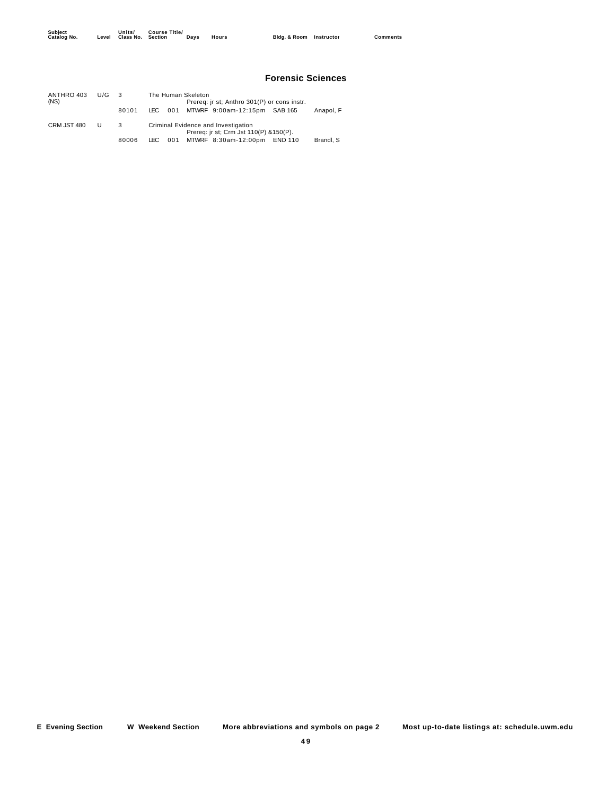#### **Forensic Sciences**

| ANTHRO 403<br>(NS) | U/G |       | The Human Skeleton<br>Prereq: jr st; Anthro 301(P) or cons instr. |     |  |                                                                                |         |           |
|--------------------|-----|-------|-------------------------------------------------------------------|-----|--|--------------------------------------------------------------------------------|---------|-----------|
|                    |     | 80101 | LEC.                                                              | 001 |  | MTWRF 9:00am-12:15pm SAB 165                                                   |         | Anapol. F |
| CRM JST 480        | U   | 3     |                                                                   |     |  | Criminal Evidence and Investigation<br>Prereq: jr st; Crm Jst 110(P) & 150(P). |         |           |
|                    |     | 80006 | LEC.                                                              | 001 |  | MTWRF 8:30am-12:00pm                                                           | END 110 | Brandl, S |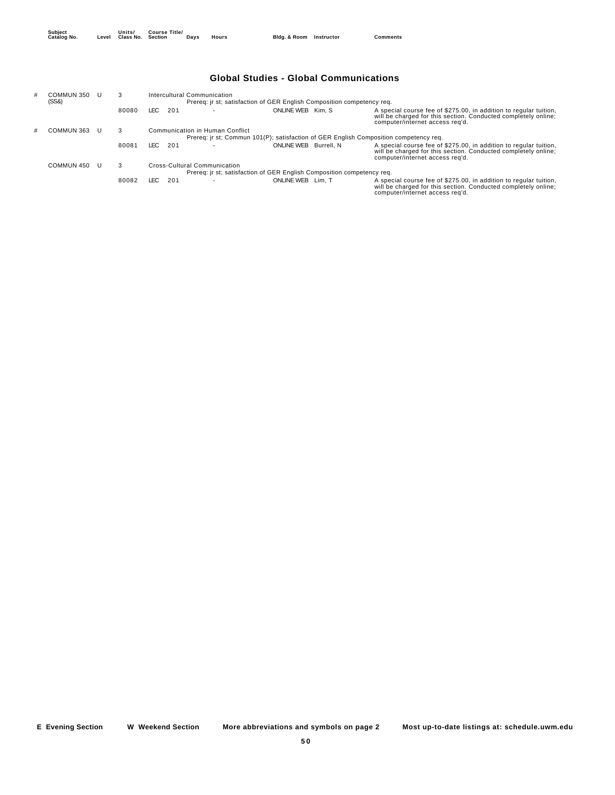## **Global Studies - Global Communications**

| COMMUN 350<br>(SS8) | 3                                                                                     |             | Intercultural Communication<br>Prereq: jr st; satisfaction of GER English Composition competency req. |                                                                        |  |                                                                                                                                                                        |  |  |  |  |  |
|---------------------|---------------------------------------------------------------------------------------|-------------|-------------------------------------------------------------------------------------------------------|------------------------------------------------------------------------|--|------------------------------------------------------------------------------------------------------------------------------------------------------------------------|--|--|--|--|--|
|                     | 80080                                                                                 | LEC.<br>201 |                                                                                                       | ONLINE WEB Kim. S                                                      |  | A special course fee of \$275.00, in addition to regular tuition.<br>will be charged for this section. Conducted completely online;<br>computer/internet access reg'd. |  |  |  |  |  |
| COMMUN 363          | 3                                                                                     |             | Communication in Human Conflict                                                                       |                                                                        |  |                                                                                                                                                                        |  |  |  |  |  |
|                     | Prereq: ir st; Commun 101(P); satisfaction of GER English Composition competency req. |             |                                                                                                       |                                                                        |  |                                                                                                                                                                        |  |  |  |  |  |
|                     | 80081                                                                                 | LEC.<br>201 |                                                                                                       | ONLINE WEB Burrell, N                                                  |  | A special course fee of \$275.00, in addition to regular tuition.<br>will be charged for this section. Conducted completely online;<br>computer/internet access reg'd. |  |  |  |  |  |
| COMMUN 450          | 3                                                                                     |             | Cross-Cultural Communication                                                                          |                                                                        |  |                                                                                                                                                                        |  |  |  |  |  |
|                     |                                                                                       |             |                                                                                                       | Prereg: ir st; satisfaction of GER English Composition competency reg. |  |                                                                                                                                                                        |  |  |  |  |  |
|                     | 80082                                                                                 | LEC.<br>201 |                                                                                                       | ONLINE WEB Lim. T                                                      |  | A special course fee of \$275.00, in addition to regular tuition,<br>will be charged for this section. Conducted completely online;<br>computer/internet access reg'd. |  |  |  |  |  |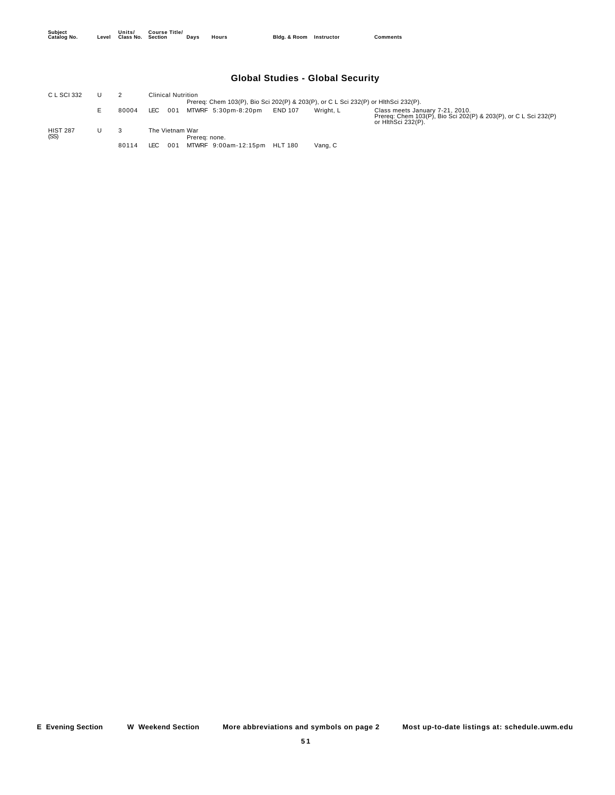## **Global Studies - Global Security**

| C L SCI 332             |       | Clinical Nutrition                                   |                                                                                    |                                                                                                                          |  |  |  |  |  |  |
|-------------------------|-------|------------------------------------------------------|------------------------------------------------------------------------------------|--------------------------------------------------------------------------------------------------------------------------|--|--|--|--|--|--|
|                         |       |                                                      | Prereq: Chem 103(P), Bio Sci 202(P) & 203(P), or C L Sci 232(P) or HithSci 232(P). |                                                                                                                          |  |  |  |  |  |  |
|                         | 80004 | MTWRF 5:30pm-8:20pm<br><b>END 107</b><br>LEC.<br>001 | Wright, L                                                                          | Class meets January 7-21, 2010.<br>Prereq: Chem 103(P), Bio Sci 202(P) & 203(P), or C L Sci 232(P)<br>or HithSci 232(P). |  |  |  |  |  |  |
| <b>HIST 287</b><br>(SS) |       | The Vietnam War<br>Prereg: none.                     |                                                                                    |                                                                                                                          |  |  |  |  |  |  |
|                         | 80114 | MTWRF 9:00am-12:15pm HLT 180<br>LEC<br>001           | Vang, C                                                                            |                                                                                                                          |  |  |  |  |  |  |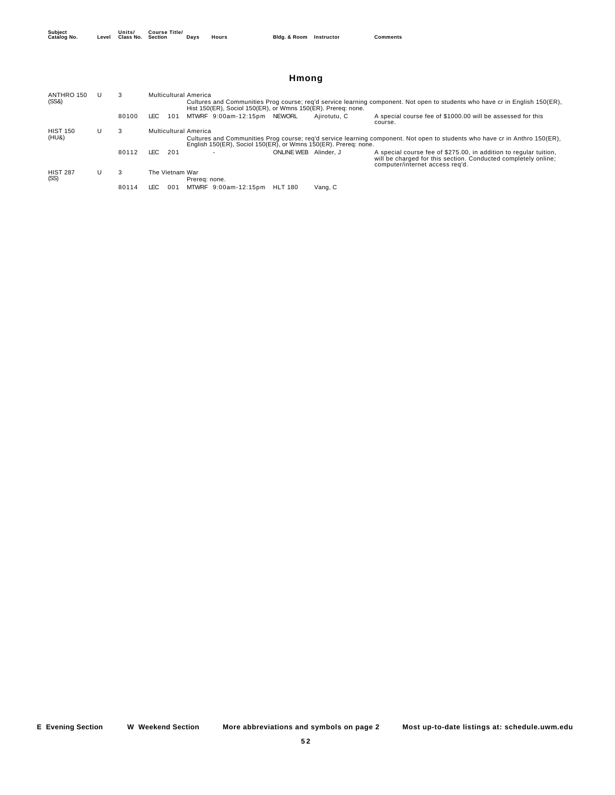| ANTHRO 150<br>(SS8)      |   | 3     |                 | <b>Multicultural America</b> | Cultures and Communities Prog course; reg'd service learning component. Not open to students who have cr in English 150(ER),<br>Hist 150(ER), Sociol 150(ER), or Wmns 150(ER). Prereq: none. |                |              |                                                                                                                                                                        |  |  |  |  |
|--------------------------|---|-------|-----------------|------------------------------|----------------------------------------------------------------------------------------------------------------------------------------------------------------------------------------------|----------------|--------------|------------------------------------------------------------------------------------------------------------------------------------------------------------------------|--|--|--|--|
|                          |   | 80100 | LEC.<br>101     |                              | MTWRF 9:00am-12:15pm                                                                                                                                                                         | NEWORL         | Aiirotutu. C | A special course fee of \$1000.00 will be assessed for this<br>course.                                                                                                 |  |  |  |  |
| <b>HIST 150</b><br>(HU&) | U | 3     |                 | <b>Multicultural America</b> | English 150(ER), Sociol 150(ER), or Wmns 150(ER). Prereg: none.                                                                                                                              |                |              | Cultures and Communities Prog course; reg'd service learning component. Not open to students who have cr in Anthro 150(ER),                                            |  |  |  |  |
|                          |   | 80112 | LEC<br>201      |                              |                                                                                                                                                                                              | ONLINE WEB     | Alinder, J   | A special course fee of \$275.00, in addition to regular tuition,<br>will be charged for this section. Conducted completely online;<br>computer/internet access reg'd. |  |  |  |  |
| <b>HIST 287</b><br>(SS)  | U | 3     | The Vietnam War | Prereg: none.                |                                                                                                                                                                                              |                |              |                                                                                                                                                                        |  |  |  |  |
|                          |   | 80114 | LEC<br>001      |                              | MTWRF 9:00am-12:15pm                                                                                                                                                                         | <b>HLT 180</b> | Vang, C      |                                                                                                                                                                        |  |  |  |  |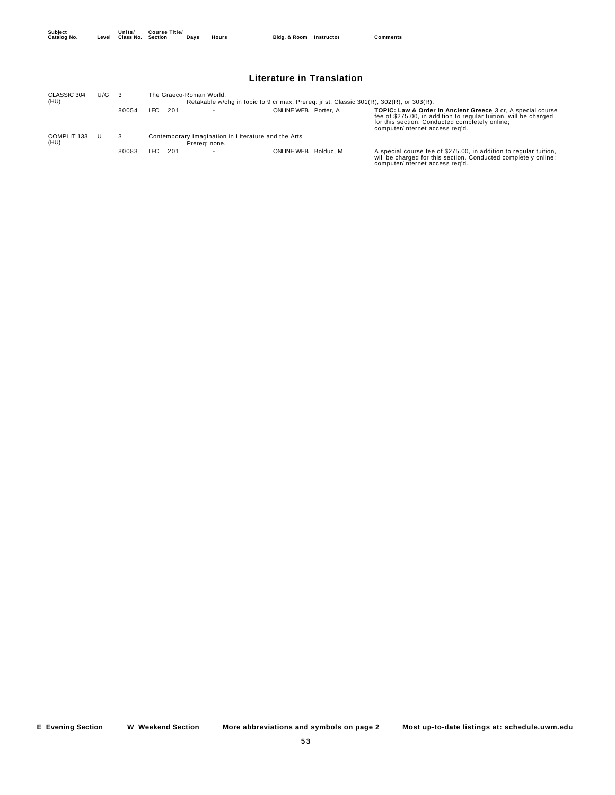| Subject<br>Catalog No. | Units/<br>Level Class No. Section | <b>Course Title/</b> | Davs | Hours | Bldg. & Room Instructor | <b>Comments</b> |
|------------------------|-----------------------------------|----------------------|------|-------|-------------------------|-----------------|
|                        |                                   |                      |      |       |                         |                 |

## **Literature in Translation**

| CLASSIC 304         | U/G |       |             | The Graeco-Roman World:                                                                 |                   |           |                                                                                                                                                                                                                                 |
|---------------------|-----|-------|-------------|-----------------------------------------------------------------------------------------|-------------------|-----------|---------------------------------------------------------------------------------------------------------------------------------------------------------------------------------------------------------------------------------|
| (HU)                |     |       |             | Retakable w/chq in topic to 9 cr max. Prereq: jr st; Classic 301(R), 302(R), or 303(R). |                   |           |                                                                                                                                                                                                                                 |
|                     |     | 80054 | LEC.<br>201 |                                                                                         | ONLINE WEB        | Porter, A | <b>TOPIC: Law &amp; Order in Ancient Greece</b> 3 cr, A special course<br>fee of \$275.00, in addition to regular tuition, will be charged<br>for this section. Conducted completely online;<br>computer/internet access reg'd. |
| COMPLIT 133<br>(HU) |     |       |             | Contemporary Imagination in Literature and the Arts<br>Prerea: none.                    |                   |           |                                                                                                                                                                                                                                 |
|                     |     | 80083 | LEC.<br>201 |                                                                                         | <b>ONLINE WEB</b> | Bolduc, M | A special course fee of \$275.00, in addition to regular tuition,<br>will be charged for this section. Conducted completely online;<br>computer/internet access reg'd.                                                          |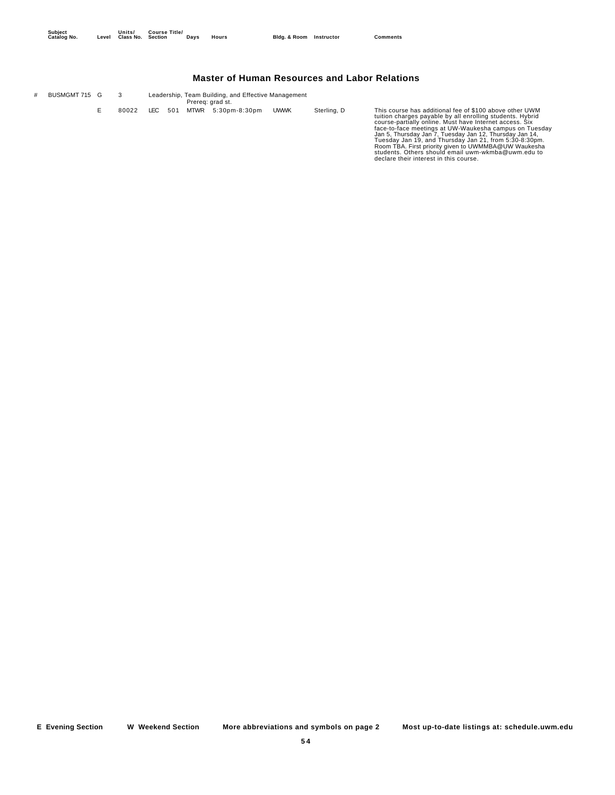## **Master of Human Resources and Labor Relations**

| # | BUSMGMT 715 G |       |  | Leadership, Team Building, and Effective Management<br>Prereg: grad st. |             |             |                                                                                                                                                                                                                                                                                                                                                                                                                                                                                                                        |
|---|---------------|-------|--|-------------------------------------------------------------------------|-------------|-------------|------------------------------------------------------------------------------------------------------------------------------------------------------------------------------------------------------------------------------------------------------------------------------------------------------------------------------------------------------------------------------------------------------------------------------------------------------------------------------------------------------------------------|
|   |               | 80022 |  | LEC 501 MTWR 5:30pm-8:30pm                                              | <b>UWWK</b> | Sterling, D | This course has additional fee of \$100 above other UWM<br>tuition charges payable by all enrolling students. Hybrid<br>course-partially online. Must have Internet access. Six<br>face-to-face meetings at UW-Waukesha campus on Tuesday<br>Jan 5, Thursday Jan 7, Tuesday Jan 12, Thursday Jan 14,<br>Tuesday Jan 19, and Thursday Jan 21, from 5:30-8:30pm.<br>Room TBA. First priority given to UWMMBA@UW Waukesha<br>students. Others should email uwm-wkmba@uwm.edu to<br>declare their interest in this course. |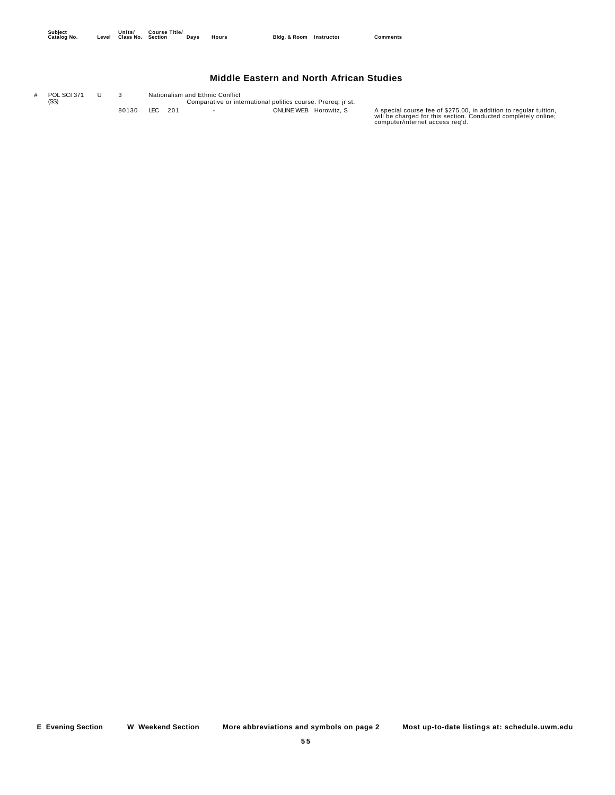## **Middle Eastern and North African Studies**

Comparative or international politics course. Prereq: jr st. # POL SCI 371 (SS) U 3 Nationalism and Ethnic Conflict

BO130 LEC 201 - ONLINE WEB Horowitz, S A special course fee of \$275.00, in addition to regular tuition,<br>will be charged for this section. Conducted completely online;<br>computer/internet access req'd.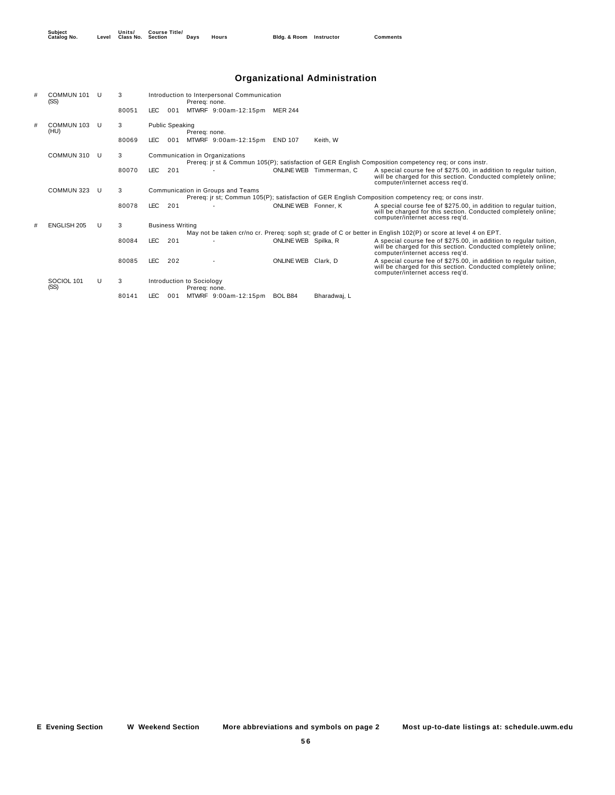## **Organizational Administration**

| # | COMMUN 101<br>(SS) | U | 3     |            |                         | Prereg: none.                  | Introduction to Interpersonal Communication                                                           |                      |                         |                                                                                                                                                                        |
|---|--------------------|---|-------|------------|-------------------------|--------------------------------|-------------------------------------------------------------------------------------------------------|----------------------|-------------------------|------------------------------------------------------------------------------------------------------------------------------------------------------------------------|
|   |                    |   | 80051 | LEC.       | 001                     |                                | MTWRF 9:00am-12:15pm MER 244                                                                          |                      |                         |                                                                                                                                                                        |
| # | COMMUN 103<br>(HU) | U | 3     |            | <b>Public Speaking</b>  | Prereg: none.                  |                                                                                                       |                      |                         |                                                                                                                                                                        |
|   |                    |   | 80069 | LEC.       | 001                     |                                | MTWRF 9:00am-12:15pm END 107                                                                          |                      | Keith, W                |                                                                                                                                                                        |
|   | COMMUN 310         | U | 3     |            |                         | Communication in Organizations | Prereg: ir st & Commun 105(P); satisfaction of GER English Composition competency reg; or cons instr. |                      |                         |                                                                                                                                                                        |
|   |                    |   | 80070 | <b>LEC</b> | 201                     |                                |                                                                                                       |                      | ONLINE WEB Timmerman, C | A special course fee of \$275.00, in addition to regular tuition,<br>will be charged for this section. Conducted completely online;<br>computer/internet access reg'd. |
|   | COMMUN 323         | U | 3     |            |                         |                                | Communication in Groups and Teams                                                                     |                      |                         |                                                                                                                                                                        |
|   |                    |   |       |            |                         |                                |                                                                                                       |                      |                         | Prereq: ir st; Commun 105(P); satisfaction of GER English Composition competency req; or cons instr.                                                                   |
|   |                    |   | 80078 | <b>LEC</b> | 201                     |                                |                                                                                                       | ONLINE WEB Fonner, K |                         | A special course fee of \$275.00, in addition to regular tuition,<br>will be charged for this section. Conducted completely online;<br>computer/internet access req'd. |
| # | <b>ENGLISH 205</b> | U | 3     |            | <b>Business Writing</b> |                                |                                                                                                       |                      |                         |                                                                                                                                                                        |
|   |                    |   |       |            |                         |                                |                                                                                                       |                      |                         | May not be taken cr/no cr. Prereq: soph st; grade of C or better in English 102(P) or score at level 4 on EPT.                                                         |
|   |                    |   | 80084 | <b>LEC</b> | 201                     |                                |                                                                                                       | ONLINE WEB Spilka, R |                         | A special course fee of \$275.00, in addition to regular tuition,<br>will be charged for this section. Conducted completely online;<br>computer/internet access req'd. |
|   |                    |   | 80085 | LEC.       | 202                     |                                |                                                                                                       | ONLINE WEB Clark, D  |                         | A special course fee of \$275.00, in addition to regular tuition,<br>will be charged for this section. Conducted completely online;<br>computer/internet access reg'd. |
|   | SOCIOL 101         | U | 3     |            |                         | Introduction to Sociology      |                                                                                                       |                      |                         |                                                                                                                                                                        |
|   | (SS)               |   |       |            |                         | Prereg: none.                  |                                                                                                       |                      |                         |                                                                                                                                                                        |
|   |                    |   | 80141 | LEC.       | 001                     |                                | MTWRF 9:00am-12:15pm                                                                                  | BOL B84              | Bharadwai. L            |                                                                                                                                                                        |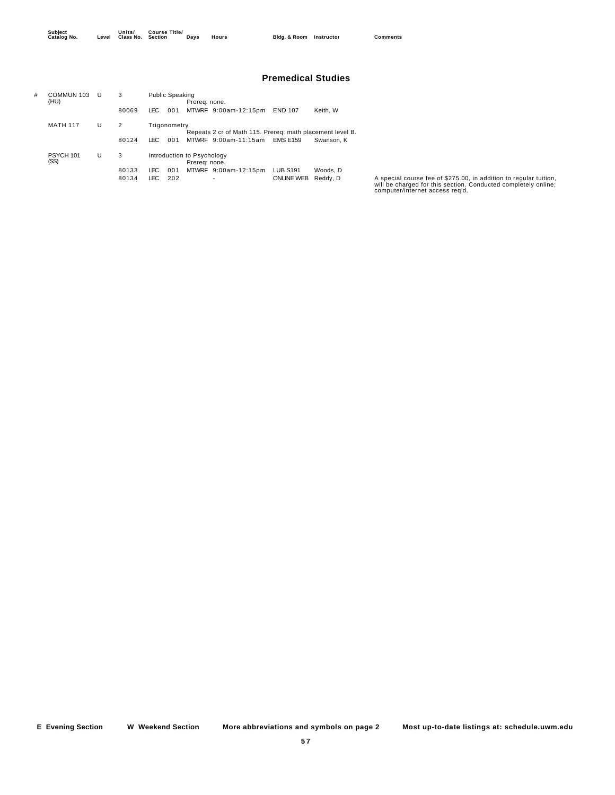**Units/ Class No. Course Title/**

#### **Premedical Studies**

| # | COMMUN 103<br>(HU) | U | 3              | <b>Public Speaking</b><br>Prereg: none.                                   |            |  |                           |                                      |                      |
|---|--------------------|---|----------------|---------------------------------------------------------------------------|------------|--|---------------------------|--------------------------------------|----------------------|
|   |                    |   | 80069          | <b>LEC</b>                                                                | 001        |  | MTWRF 9:00am-12:15pm      | <b>END 107</b>                       | Keith. W             |
|   | <b>MATH 117</b>    | U | 2              | Trigonometry<br>Repeats 2 cr of Math 115. Prereg: math placement level B. |            |  |                           |                                      |                      |
|   |                    |   | 80124          | LEC.                                                                      | 001        |  | MTWRF 9:00am-11:15am      | <b>EMS E159</b>                      | Swanson, K           |
|   | PSYCH 101<br>(SS)  | U | 3              | Introduction to Psychology<br>Prereg: none.                               |            |  |                           |                                      |                      |
|   |                    |   | 80133<br>80134 | LEC<br>LEC                                                                | 001<br>202 |  | MTWRF 9:00am-12:15pm<br>۰ | <b>LUB S191</b><br><b>ONLINE WEB</b> | Woods, D<br>Reddy, D |

80134 LEC 202 - ONLINE WEB Reddy, D A special course fee of \$275.00, in addition to regular tuition,<br>will be charged for this section. Conducted completely online;<br>computer/internet access req'd.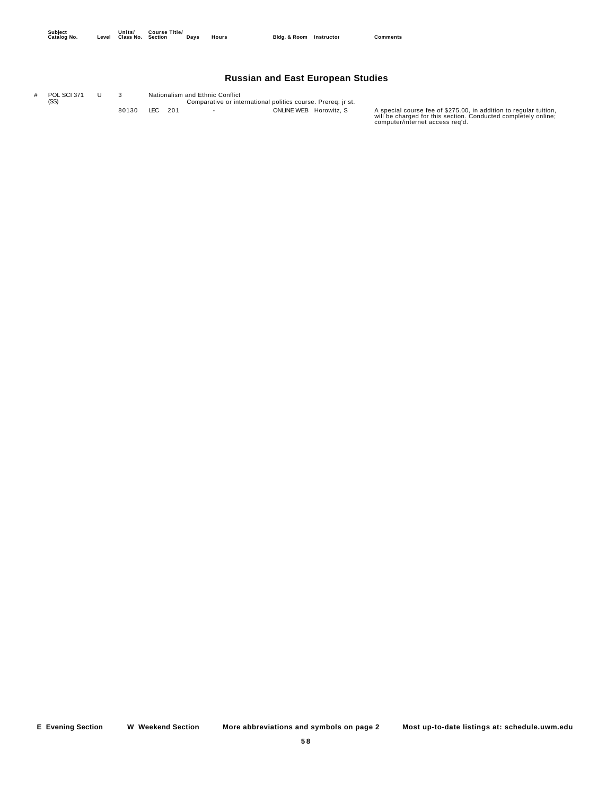## **Russian and East European Studies**

Comparative or international politics course. Prereq: jr st. # POL SCI 371 (SS) U 3 Nationalism and Ethnic Conflict

BO130 LEC 201 - ONLINE WEB Horowitz, S A special course fee of \$275.00, in addition to regular tuition,<br>will be charged for this section. Conducted completely online;<br>computer/internet access req'd.